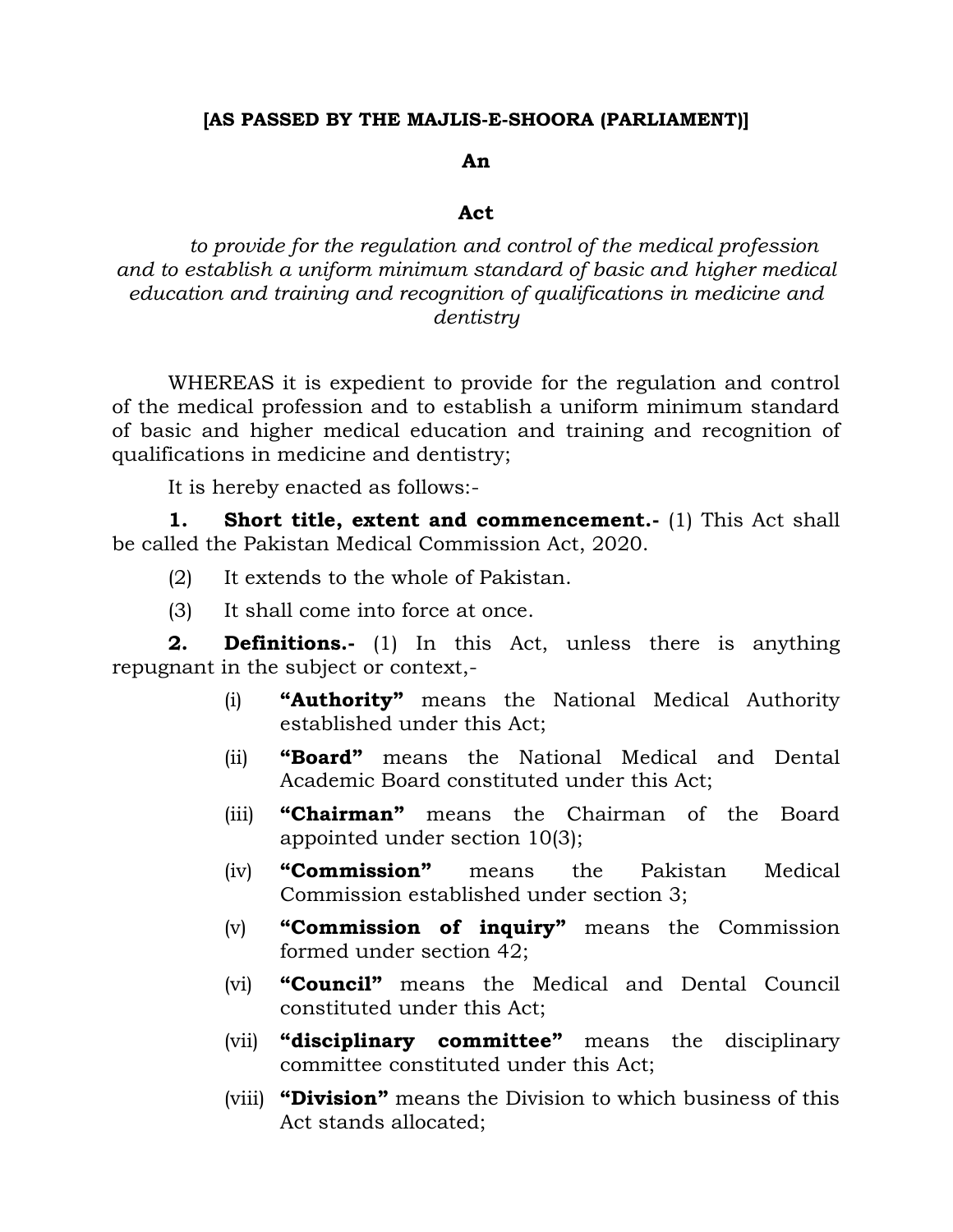## **[AS PASSED BY THE MAJLIS-E-SHOORA (PARLIAMENT)]**

## **An**

## **Act**

*to provide for the regulation and control of the medical profession and to establish a uniform minimum standard of basic and higher medical education and training and recognition of qualifications in medicine and dentistry*

WHEREAS it is expedient to provide for the regulation and control of the medical profession and to establish a uniform minimum standard of basic and higher medical education and training and recognition of qualifications in medicine and dentistry;

It is hereby enacted as follows:-

**1. Short title, extent and commencement.-** (1) This Act shall be called the Pakistan Medical Commission Act, 2020.

- (2) It extends to the whole of Pakistan.
- (3) It shall come into force at once.

**2. Definitions.-** (1) In this Act, unless there is anything repugnant in the subject or context,-

- (i) **"Authority"** means the National Medical Authority established under this Act;
- (ii) **"Board"** means the National Medical and Dental Academic Board constituted under this Act;
- (iii) **"Chairman"** means the Chairman of the Board appointed under section 10(3);
- (iv) **"Commission"** means the Pakistan Medical Commission established under section 3;
- (v) **"Commission of inquiry"** means the Commission formed under section 42;
- (vi) **"Council"** means the Medical and Dental Council constituted under this Act;
- (vii) **"disciplinary committee"** means the disciplinary committee constituted under this Act;
- (viii) **"Division"** means the Division to which business of this Act stands allocated;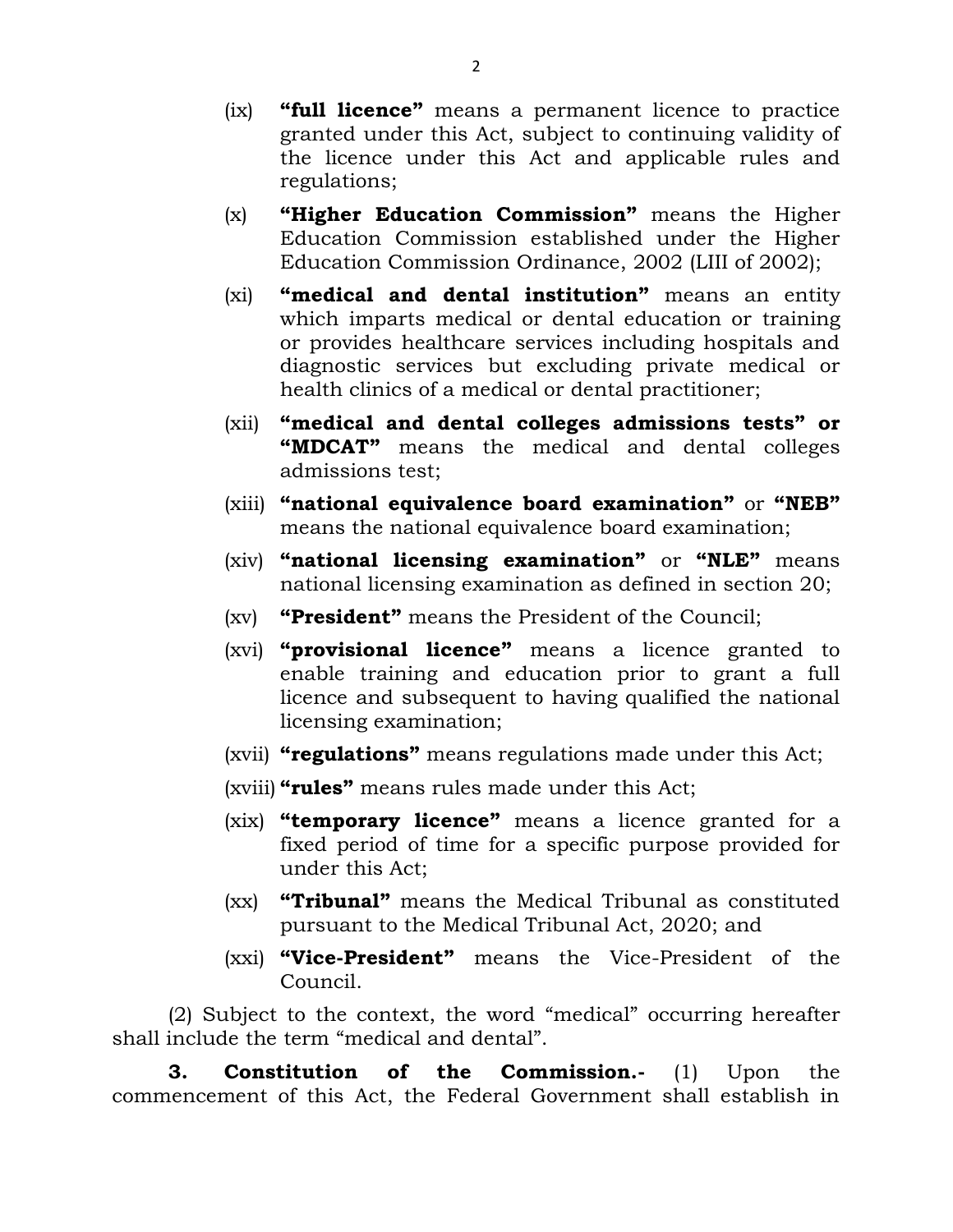- (ix) **"full licence"** means a permanent licence to practice granted under this Act, subject to continuing validity of the licence under this Act and applicable rules and regulations;
- (x) **"Higher Education Commission"** means the Higher Education Commission established under the Higher Education Commission Ordinance, 2002 (LIII of 2002);
- (xi) **"medical and dental institution"** means an entity which imparts medical or dental education or training or provides healthcare services including hospitals and diagnostic services but excluding private medical or health clinics of a medical or dental practitioner;
- (xii) **"medical and dental colleges admissions tests" or "MDCAT"** means the medical and dental colleges admissions test;
- (xiii) **"national equivalence board examination"** or **"NEB"** means the national equivalence board examination;
- (xiv) **"national licensing examination"** or **"NLE"** means national licensing examination as defined in section 20;
- (xv) **"President"** means the President of the Council;
- (xvi) **"provisional licence"** means a licence granted to enable training and education prior to grant a full licence and subsequent to having qualified the national licensing examination;
- (xvii) **"regulations"** means regulations made under this Act;
- (xviii) **"rules"** means rules made under this Act;
- (xix) **"temporary licence"** means a licence granted for a fixed period of time for a specific purpose provided for under this Act;
- (xx) **"Tribunal"** means the Medical Tribunal as constituted pursuant to the Medical Tribunal Act, 2020; and
- (xxi) **"Vice-President"** means the Vice-President of the Council.

(2) Subject to the context, the word "medical" occurring hereafter shall include the term "medical and dental".

**3. Constitution of the Commission.-** (1) Upon the commencement of this Act, the Federal Government shall establish in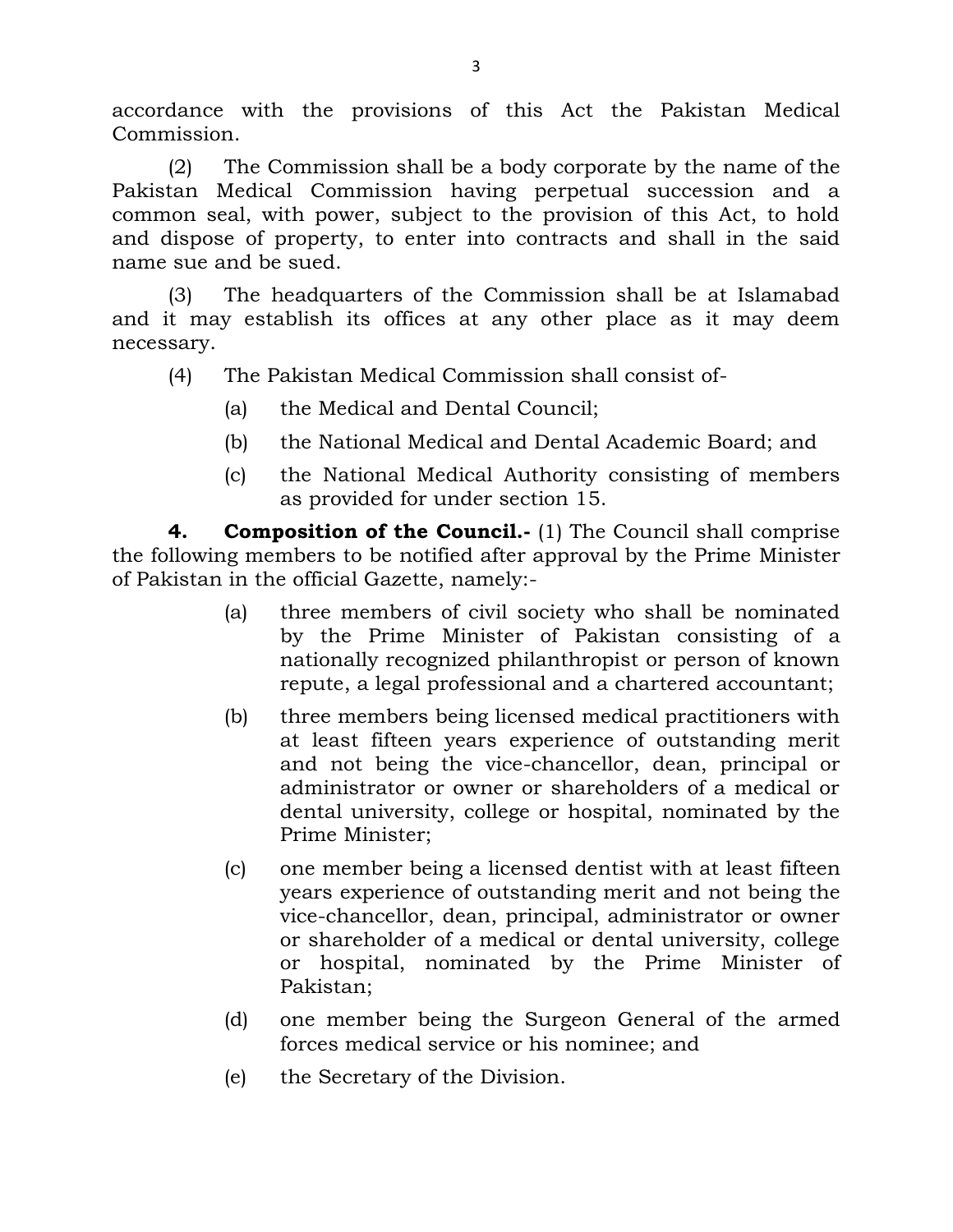accordance with the provisions of this Act the Pakistan Medical Commission.

(2) The Commission shall be a body corporate by the name of the Pakistan Medical Commission having perpetual succession and a common seal, with power, subject to the provision of this Act, to hold and dispose of property, to enter into contracts and shall in the said name sue and be sued.

(3) The headquarters of the Commission shall be at Islamabad and it may establish its offices at any other place as it may deem necessary.

- (4) The Pakistan Medical Commission shall consist of-
	- (a) the Medical and Dental Council;
	- (b) the National Medical and Dental Academic Board; and
	- (c) the National Medical Authority consisting of members as provided for under section 15.

**4. Composition of the Council.-** (1) The Council shall comprise the following members to be notified after approval by the Prime Minister of Pakistan in the official Gazette, namely:-

- (a) three members of civil society who shall be nominated by the Prime Minister of Pakistan consisting of a nationally recognized philanthropist or person of known repute, a legal professional and a chartered accountant;
- (b) three members being licensed medical practitioners with at least fifteen years experience of outstanding merit and not being the vice-chancellor, dean, principal or administrator or owner or shareholders of a medical or dental university, college or hospital, nominated by the Prime Minister;
- (c) one member being a licensed dentist with at least fifteen years experience of outstanding merit and not being the vice-chancellor, dean, principal, administrator or owner or shareholder of a medical or dental university, college or hospital, nominated by the Prime Minister of Pakistan;
- (d) one member being the Surgeon General of the armed forces medical service or his nominee; and
- (e) the Secretary of the Division.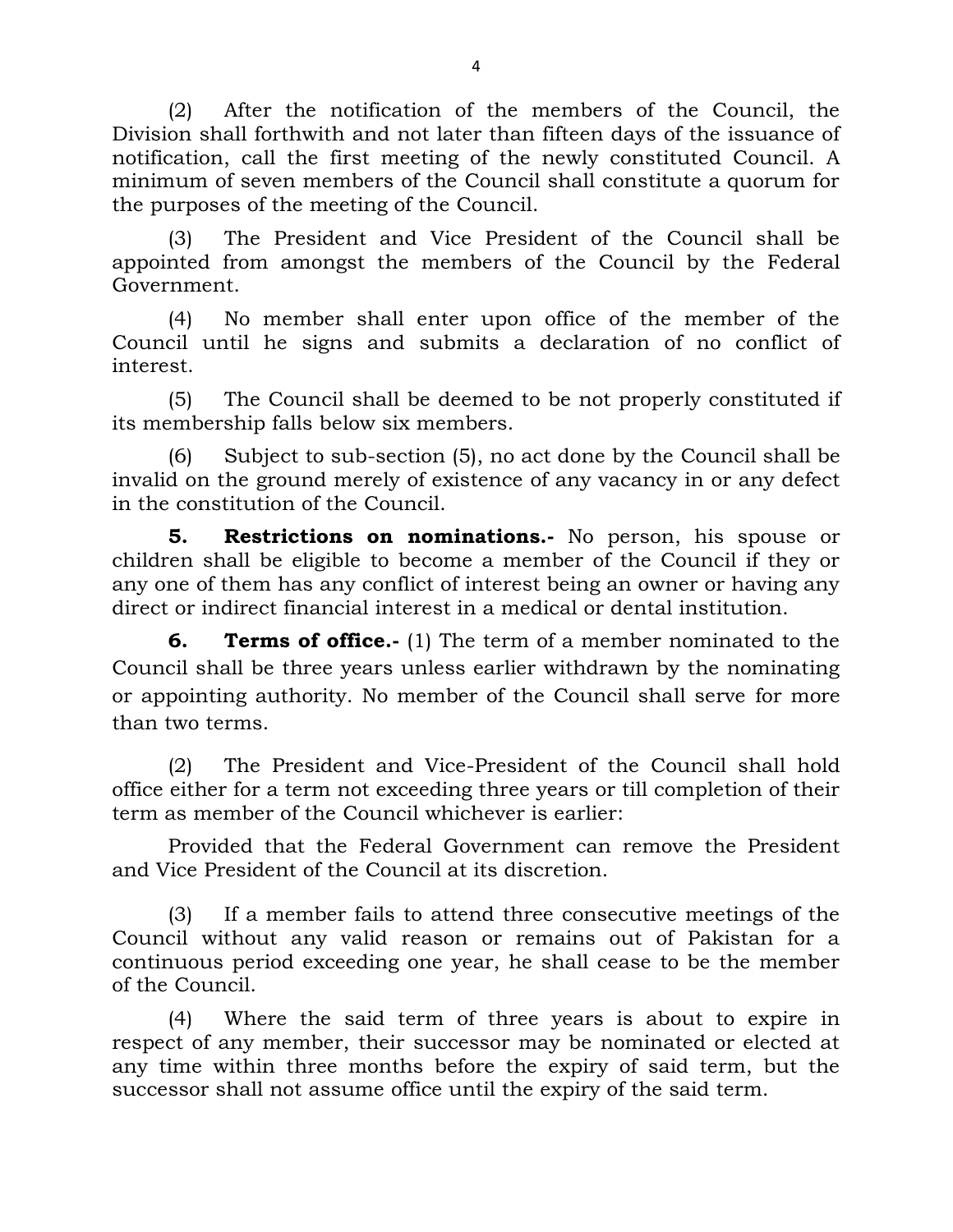(2) After the notification of the members of the Council, the Division shall forthwith and not later than fifteen days of the issuance of notification, call the first meeting of the newly constituted Council. A minimum of seven members of the Council shall constitute a quorum for the purposes of the meeting of the Council.

(3) The President and Vice President of the Council shall be appointed from amongst the members of the Council by the Federal Government.

(4) No member shall enter upon office of the member of the Council until he signs and submits a declaration of no conflict of interest.

(5) The Council shall be deemed to be not properly constituted if its membership falls below six members.

(6) Subject to sub-section (5), no act done by the Council shall be invalid on the ground merely of existence of any vacancy in or any defect in the constitution of the Council.

**5. Restrictions on nominations.-** No person, his spouse or children shall be eligible to become a member of the Council if they or any one of them has any conflict of interest being an owner or having any direct or indirect financial interest in a medical or dental institution.

**6. Terms of office.-** (1) The term of a member nominated to the Council shall be three years unless earlier withdrawn by the nominating or appointing authority. No member of the Council shall serve for more than two terms.

(2) The President and Vice-President of the Council shall hold office either for a term not exceeding three years or till completion of their term as member of the Council whichever is earlier:

Provided that the Federal Government can remove the President and Vice President of the Council at its discretion.

(3) If a member fails to attend three consecutive meetings of the Council without any valid reason or remains out of Pakistan for a continuous period exceeding one year, he shall cease to be the member of the Council.

(4) Where the said term of three years is about to expire in respect of any member, their successor may be nominated or elected at any time within three months before the expiry of said term, but the successor shall not assume office until the expiry of the said term.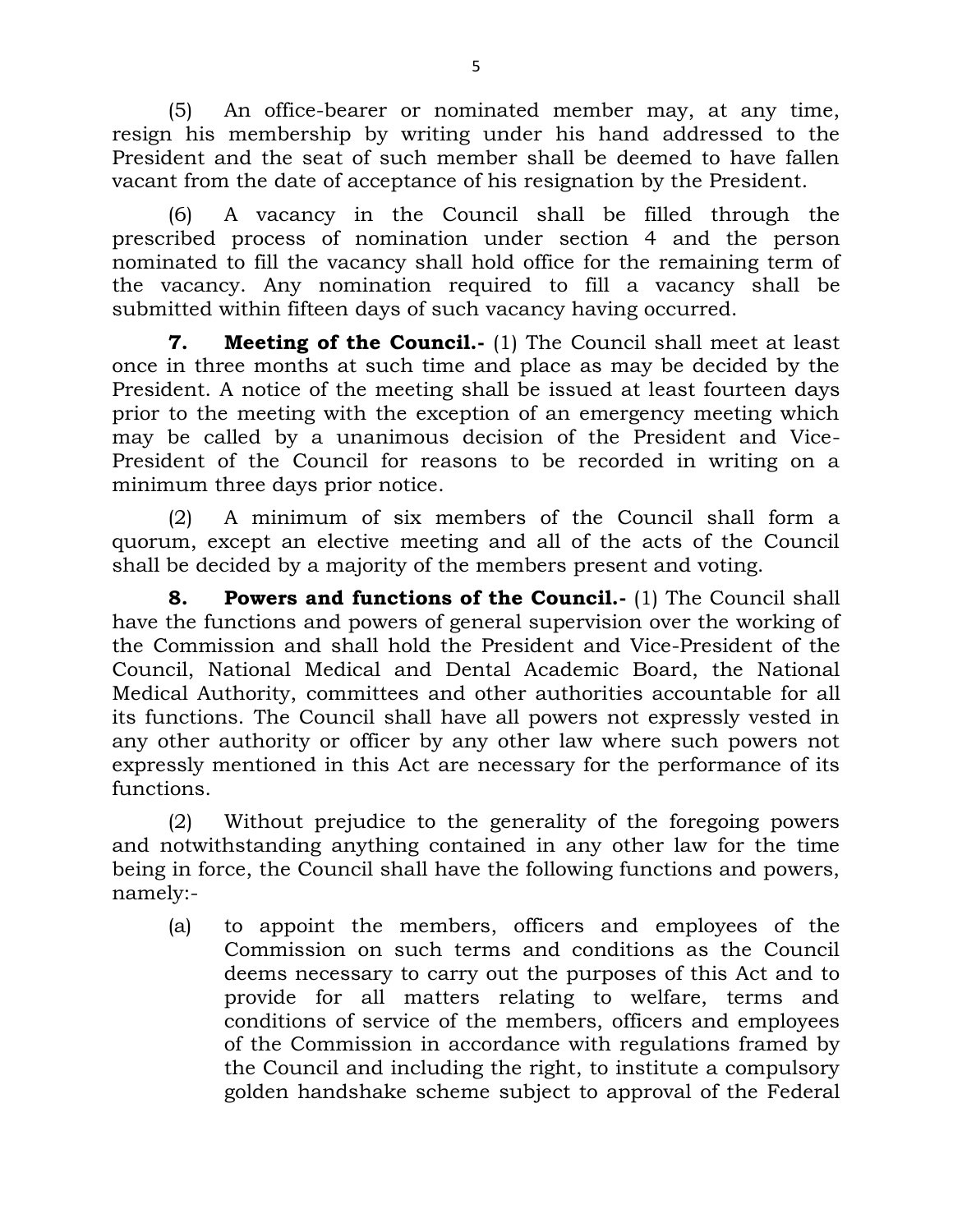(5) An office-bearer or nominated member may, at any time, resign his membership by writing under his hand addressed to the President and the seat of such member shall be deemed to have fallen vacant from the date of acceptance of his resignation by the President.

(6) A vacancy in the Council shall be filled through the prescribed process of nomination under section 4 and the person nominated to fill the vacancy shall hold office for the remaining term of the vacancy. Any nomination required to fill a vacancy shall be submitted within fifteen days of such vacancy having occurred.

**7. Meeting of the Council.-** (1) The Council shall meet at least once in three months at such time and place as may be decided by the President. A notice of the meeting shall be issued at least fourteen days prior to the meeting with the exception of an emergency meeting which may be called by a unanimous decision of the President and Vice-President of the Council for reasons to be recorded in writing on a minimum three days prior notice.

(2) A minimum of six members of the Council shall form a quorum, except an elective meeting and all of the acts of the Council shall be decided by a majority of the members present and voting.

**8. Powers and functions of the Council.-** (1) The Council shall have the functions and powers of general supervision over the working of the Commission and shall hold the President and Vice-President of the Council, National Medical and Dental Academic Board, the National Medical Authority, committees and other authorities accountable for all its functions. The Council shall have all powers not expressly vested in any other authority or officer by any other law where such powers not expressly mentioned in this Act are necessary for the performance of its functions.

(2) Without prejudice to the generality of the foregoing powers and notwithstanding anything contained in any other law for the time being in force, the Council shall have the following functions and powers, namely:-

(a) to appoint the members, officers and employees of the Commission on such terms and conditions as the Council deems necessary to carry out the purposes of this Act and to provide for all matters relating to welfare, terms and conditions of service of the members, officers and employees of the Commission in accordance with regulations framed by the Council and including the right, to institute a compulsory golden handshake scheme subject to approval of the Federal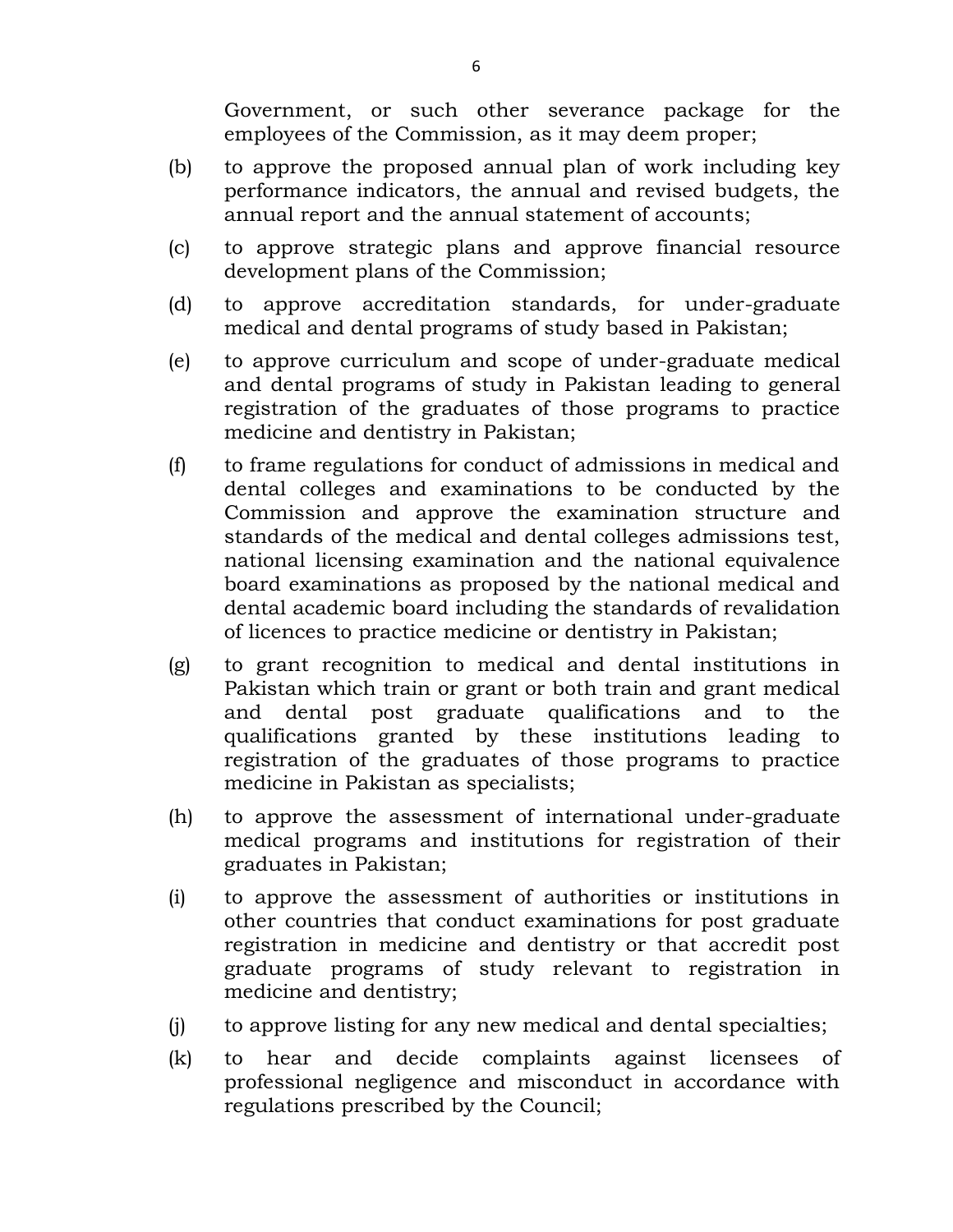Government, or such other severance package for the employees of the Commission, as it may deem proper;

- (b) to approve the proposed annual plan of work including key performance indicators, the annual and revised budgets, the annual report and the annual statement of accounts;
- (c) to approve strategic plans and approve financial resource development plans of the Commission;
- (d) to approve accreditation standards, for under-graduate medical and dental programs of study based in Pakistan;
- (e) to approve curriculum and scope of under-graduate medical and dental programs of study in Pakistan leading to general registration of the graduates of those programs to practice medicine and dentistry in Pakistan;
- (f) to frame regulations for conduct of admissions in medical and dental colleges and examinations to be conducted by the Commission and approve the examination structure and standards of the medical and dental colleges admissions test, national licensing examination and the national equivalence board examinations as proposed by the national medical and dental academic board including the standards of revalidation of licences to practice medicine or dentistry in Pakistan;
- (g) to grant recognition to medical and dental institutions in Pakistan which train or grant or both train and grant medical and dental post graduate qualifications and to the qualifications granted by these institutions leading to registration of the graduates of those programs to practice medicine in Pakistan as specialists;
- (h) to approve the assessment of international under-graduate medical programs and institutions for registration of their graduates in Pakistan;
- (i) to approve the assessment of authorities or institutions in other countries that conduct examinations for post graduate registration in medicine and dentistry or that accredit post graduate programs of study relevant to registration in medicine and dentistry;
- (j) to approve listing for any new medical and dental specialties;
- (k) to hear and decide complaints against licensees of professional negligence and misconduct in accordance with regulations prescribed by the Council;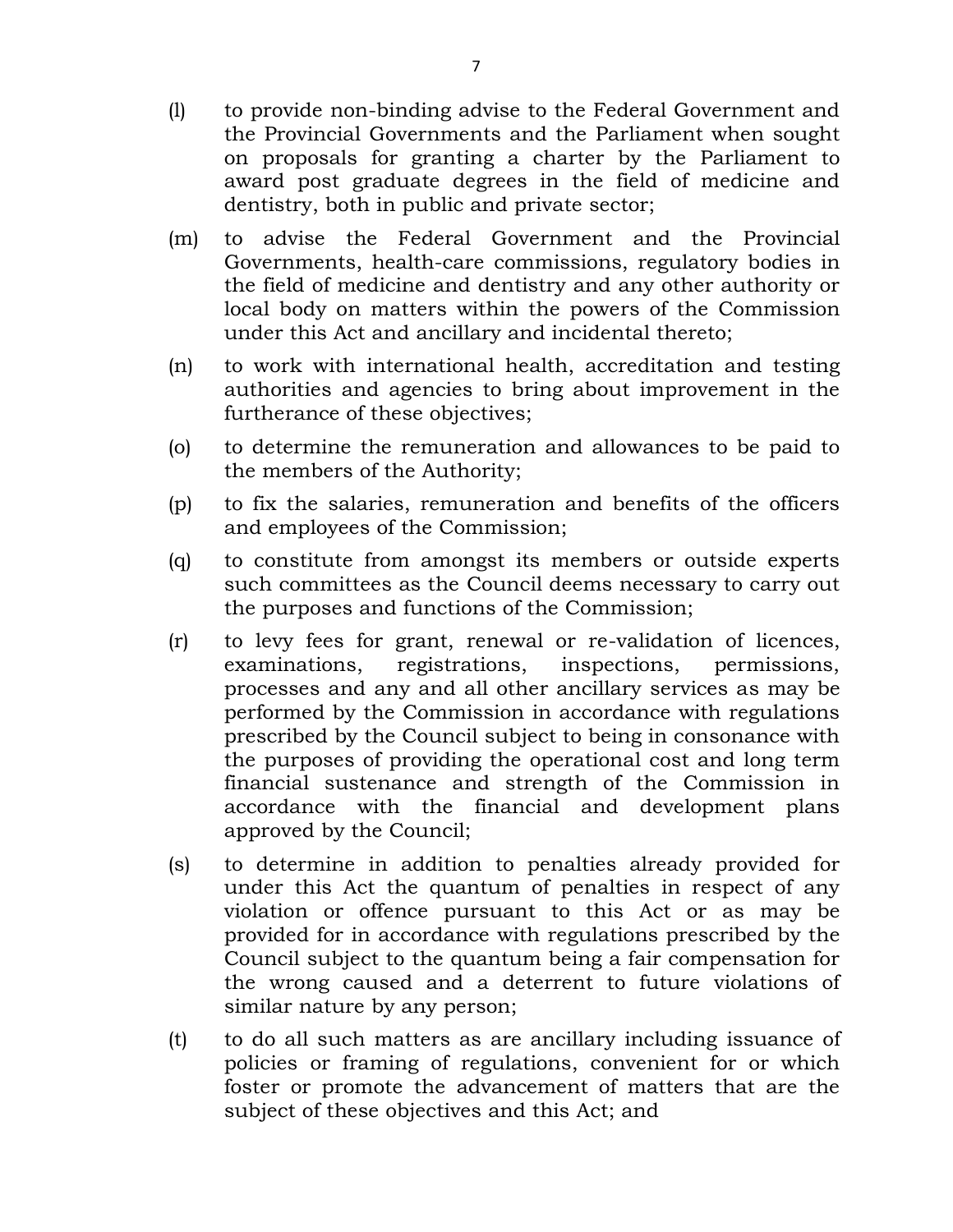- (l) to provide non-binding advise to the Federal Government and the Provincial Governments and the Parliament when sought on proposals for granting a charter by the Parliament to award post graduate degrees in the field of medicine and dentistry, both in public and private sector;
- (m) to advise the Federal Government and the Provincial Governments, health-care commissions, regulatory bodies in the field of medicine and dentistry and any other authority or local body on matters within the powers of the Commission under this Act and ancillary and incidental thereto;
- (n) to work with international health, accreditation and testing authorities and agencies to bring about improvement in the furtherance of these objectives;
- (o) to determine the remuneration and allowances to be paid to the members of the Authority;
- (p) to fix the salaries, remuneration and benefits of the officers and employees of the Commission;
- (q) to constitute from amongst its members or outside experts such committees as the Council deems necessary to carry out the purposes and functions of the Commission;
- (r) to levy fees for grant, renewal or re-validation of licences, examinations, registrations, inspections, permissions, processes and any and all other ancillary services as may be performed by the Commission in accordance with regulations prescribed by the Council subject to being in consonance with the purposes of providing the operational cost and long term financial sustenance and strength of the Commission in accordance with the financial and development plans approved by the Council;
- (s) to determine in addition to penalties already provided for under this Act the quantum of penalties in respect of any violation or offence pursuant to this Act or as may be provided for in accordance with regulations prescribed by the Council subject to the quantum being a fair compensation for the wrong caused and a deterrent to future violations of similar nature by any person;
- (t) to do all such matters as are ancillary including issuance of policies or framing of regulations, convenient for or which foster or promote the advancement of matters that are the subject of these objectives and this Act; and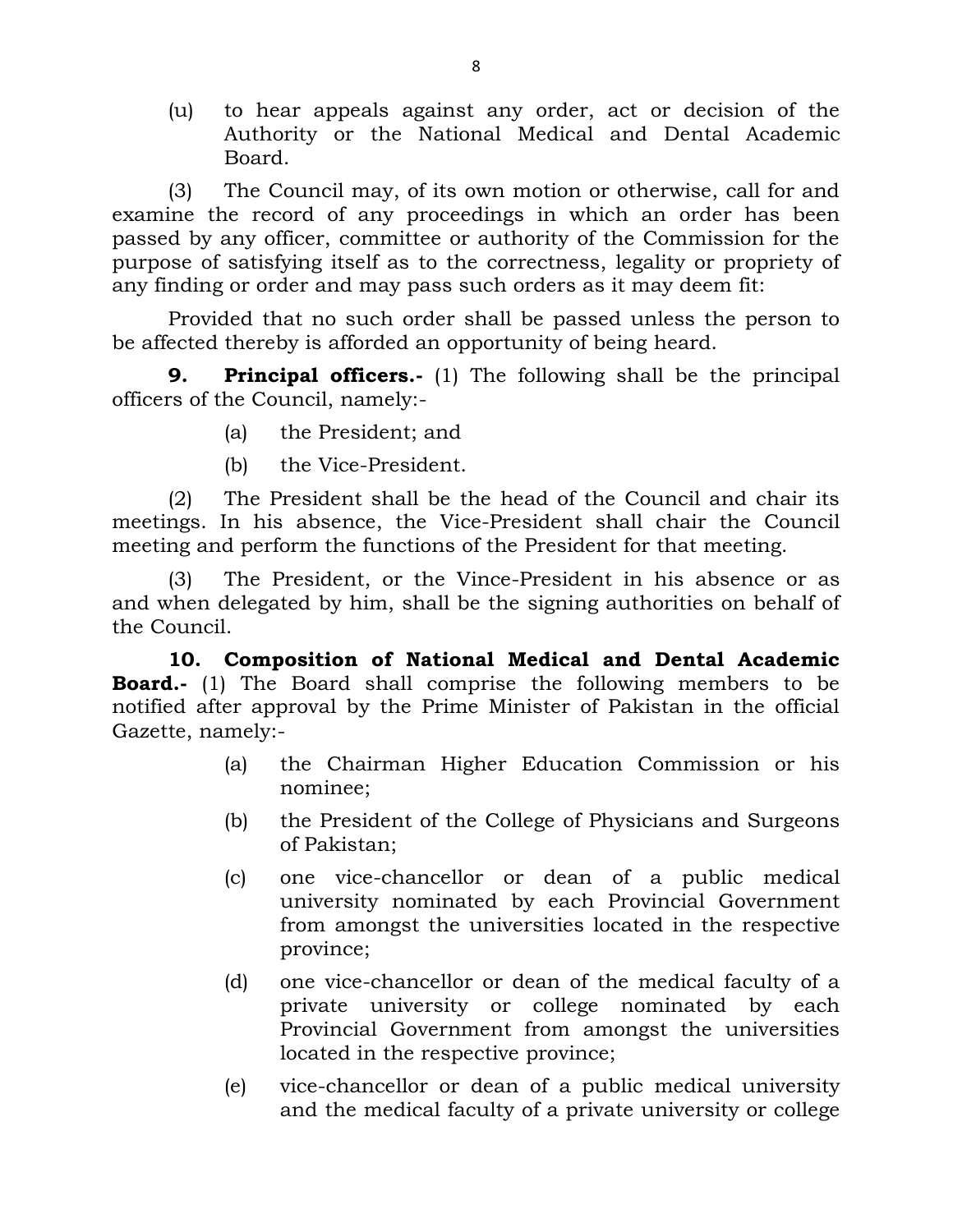(u) to hear appeals against any order, act or decision of the Authority or the National Medical and Dental Academic Board.

(3) The Council may, of its own motion or otherwise, call for and examine the record of any proceedings in which an order has been passed by any officer, committee or authority of the Commission for the purpose of satisfying itself as to the correctness, legality or propriety of any finding or order and may pass such orders as it may deem fit:

Provided that no such order shall be passed unless the person to be affected thereby is afforded an opportunity of being heard.

**9. Principal officers.-** (1) The following shall be the principal officers of the Council, namely:-

- (a) the President; and
- (b) the Vice-President.

(2) The President shall be the head of the Council and chair its meetings. In his absence, the Vice-President shall chair the Council meeting and perform the functions of the President for that meeting.

(3) The President, or the Vince-President in his absence or as and when delegated by him, shall be the signing authorities on behalf of the Council.

**10. Composition of National Medical and Dental Academic Board.-** (1) The Board shall comprise the following members to be notified after approval by the Prime Minister of Pakistan in the official Gazette, namely:-

- (a) the Chairman Higher Education Commission or his nominee;
- (b) the President of the College of Physicians and Surgeons of Pakistan;
- (c) one vice-chancellor or dean of a public medical university nominated by each Provincial Government from amongst the universities located in the respective province;
- (d) one vice-chancellor or dean of the medical faculty of a private university or college nominated by each Provincial Government from amongst the universities located in the respective province;
- (e) vice-chancellor or dean of a public medical university and the medical faculty of a private university or college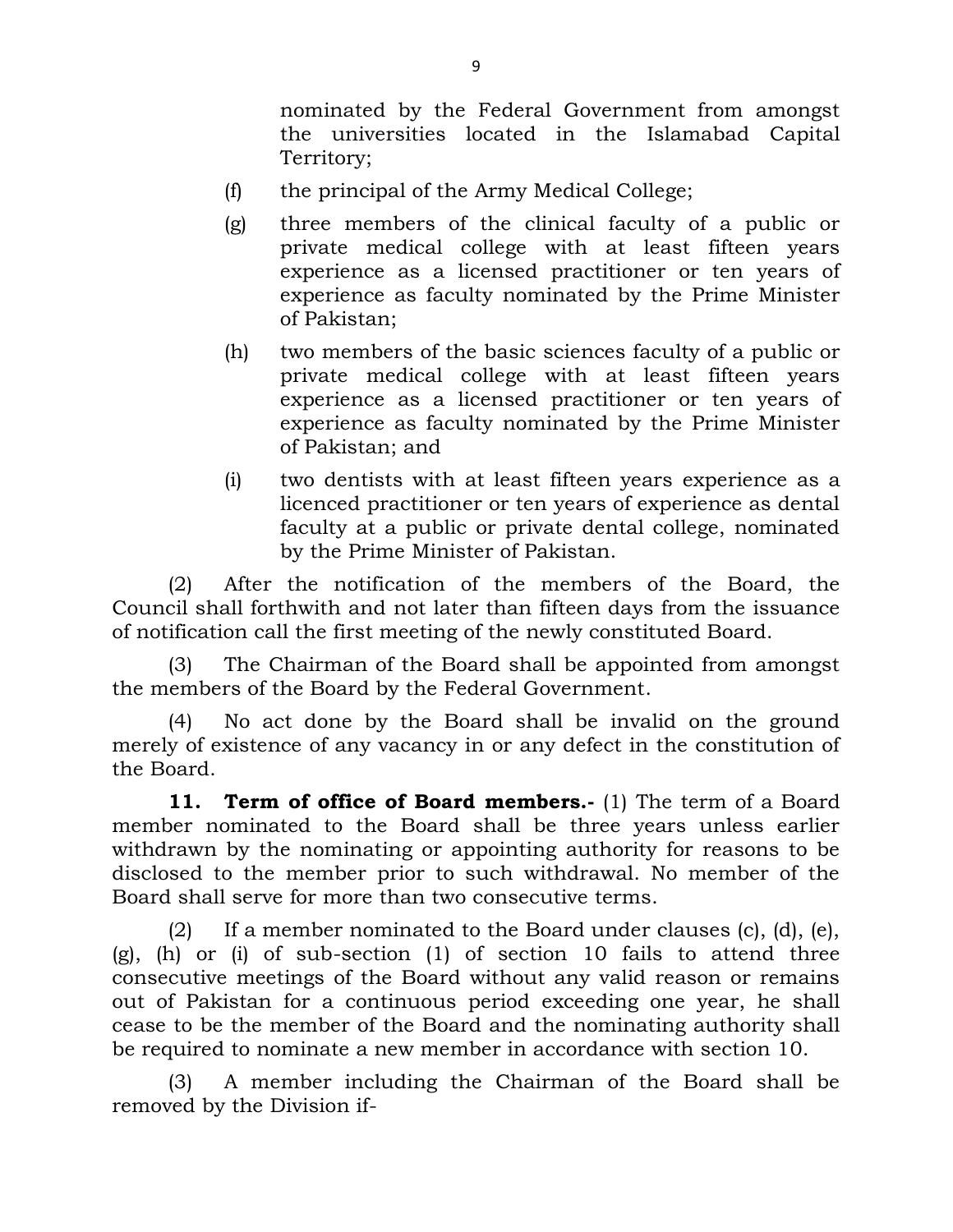nominated by the Federal Government from amongst the universities located in the Islamabad Capital Territory;

- (f) the principal of the Army Medical College;
- (g) three members of the clinical faculty of a public or private medical college with at least fifteen years experience as a licensed practitioner or ten years of experience as faculty nominated by the Prime Minister of Pakistan;
- (h) two members of the basic sciences faculty of a public or private medical college with at least fifteen years experience as a licensed practitioner or ten years of experience as faculty nominated by the Prime Minister of Pakistan; and
- (i) two dentists with at least fifteen years experience as a licenced practitioner or ten years of experience as dental faculty at a public or private dental college, nominated by the Prime Minister of Pakistan.

(2) After the notification of the members of the Board, the Council shall forthwith and not later than fifteen days from the issuance of notification call the first meeting of the newly constituted Board.

(3) The Chairman of the Board shall be appointed from amongst the members of the Board by the Federal Government.

(4) No act done by the Board shall be invalid on the ground merely of existence of any vacancy in or any defect in the constitution of the Board.

**11. Term of office of Board members.-** (1) The term of a Board member nominated to the Board shall be three years unless earlier withdrawn by the nominating or appointing authority for reasons to be disclosed to the member prior to such withdrawal. No member of the Board shall serve for more than two consecutive terms.

(2) If a member nominated to the Board under clauses  $(c)$ ,  $(d)$ ,  $(e)$ ,  $(g)$ , (h) or (i) of sub-section (1) of section 10 fails to attend three consecutive meetings of the Board without any valid reason or remains out of Pakistan for a continuous period exceeding one year, he shall cease to be the member of the Board and the nominating authority shall be required to nominate a new member in accordance with section 10.

(3) A member including the Chairman of the Board shall be removed by the Division if-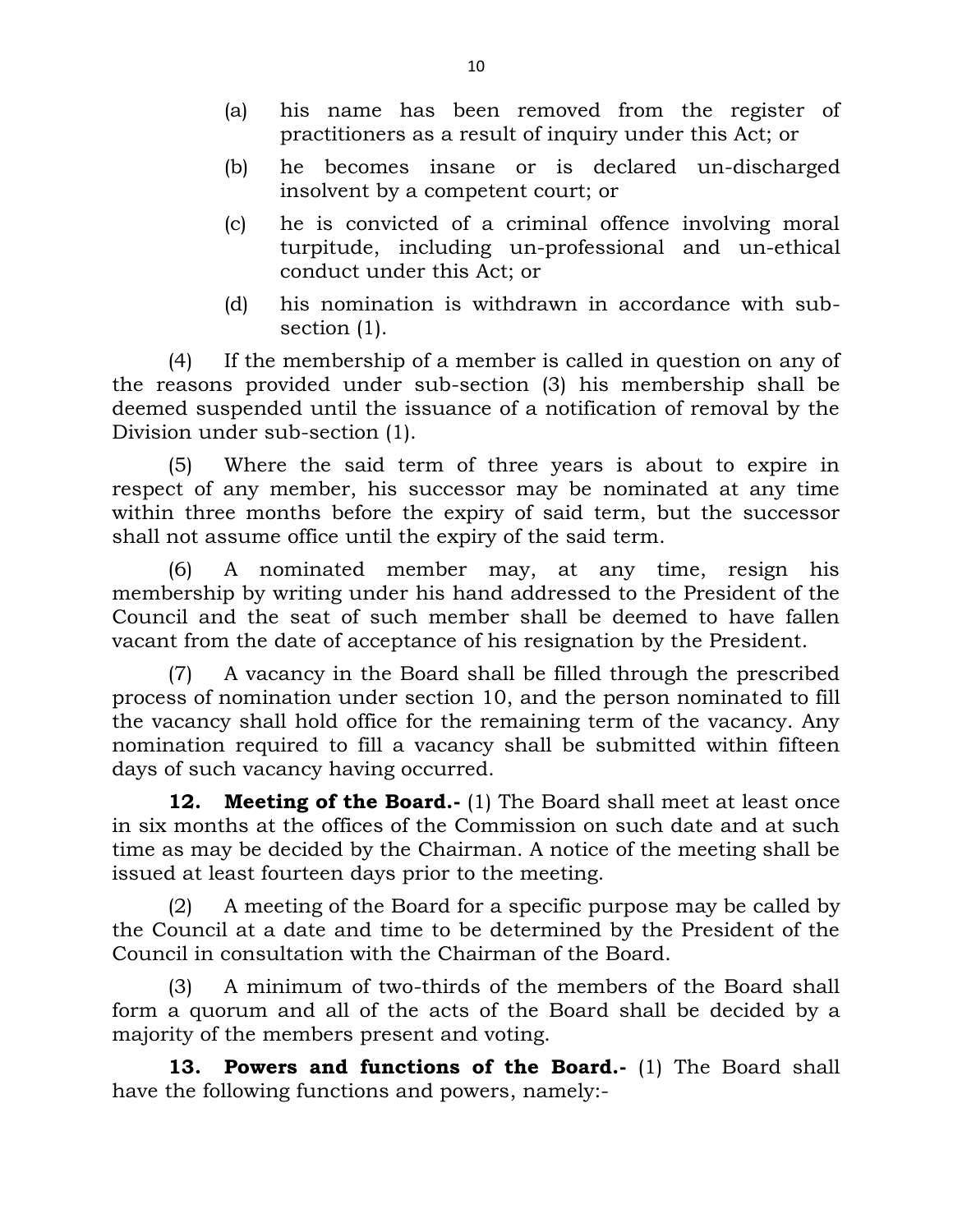- (a) his name has been removed from the register of practitioners as a result of inquiry under this Act; or
- (b) he becomes insane or is declared un-discharged insolvent by a competent court; or
- (c) he is convicted of a criminal offence involving moral turpitude, including un-professional and un-ethical conduct under this Act; or
- (d) his nomination is withdrawn in accordance with subsection (1).

(4) If the membership of a member is called in question on any of the reasons provided under sub-section (3) his membership shall be deemed suspended until the issuance of a notification of removal by the Division under sub-section (1).

(5) Where the said term of three years is about to expire in respect of any member, his successor may be nominated at any time within three months before the expiry of said term, but the successor shall not assume office until the expiry of the said term.

(6) A nominated member may, at any time, resign his membership by writing under his hand addressed to the President of the Council and the seat of such member shall be deemed to have fallen vacant from the date of acceptance of his resignation by the President.

(7) A vacancy in the Board shall be filled through the prescribed process of nomination under section 10, and the person nominated to fill the vacancy shall hold office for the remaining term of the vacancy. Any nomination required to fill a vacancy shall be submitted within fifteen days of such vacancy having occurred.

**12. Meeting of the Board.-** (1) The Board shall meet at least once in six months at the offices of the Commission on such date and at such time as may be decided by the Chairman. A notice of the meeting shall be issued at least fourteen days prior to the meeting.

(2) A meeting of the Board for a specific purpose may be called by the Council at a date and time to be determined by the President of the Council in consultation with the Chairman of the Board.

(3) A minimum of two-thirds of the members of the Board shall form a quorum and all of the acts of the Board shall be decided by a majority of the members present and voting.

**13. Powers and functions of the Board.-** (1) The Board shall have the following functions and powers, namely:-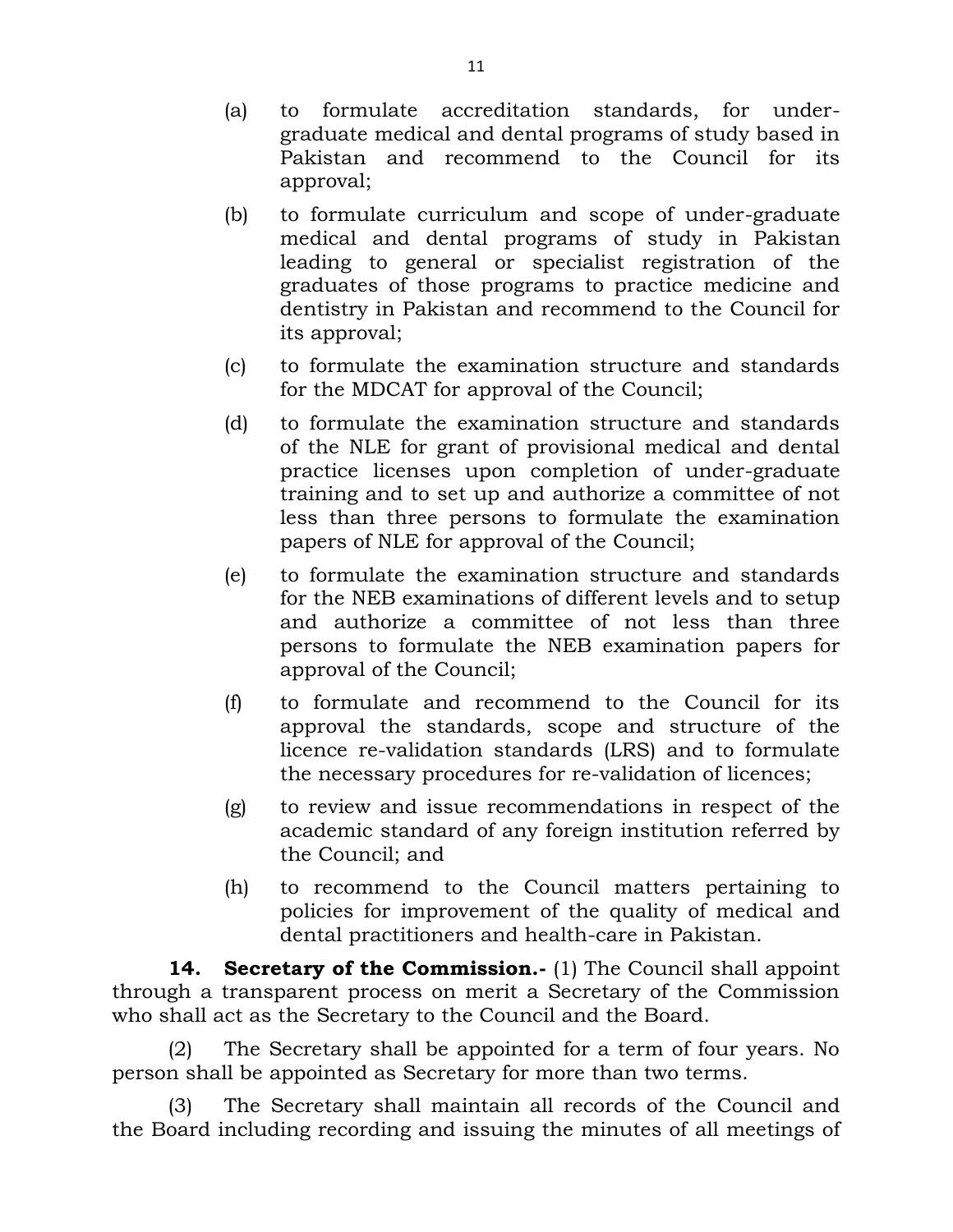- (a) to formulate accreditation standards, for undergraduate medical and dental programs of study based in Pakistan and recommend to the Council for its approval;
- (b) to formulate curriculum and scope of under-graduate medical and dental programs of study in Pakistan leading to general or specialist registration of the graduates of those programs to practice medicine and dentistry in Pakistan and recommend to the Council for its approval;
- (c) to formulate the examination structure and standards for the MDCAT for approval of the Council;
- (d) to formulate the examination structure and standards of the NLE for grant of provisional medical and dental practice licenses upon completion of under-graduate training and to set up and authorize a committee of not less than three persons to formulate the examination papers of NLE for approval of the Council;
- (e) to formulate the examination structure and standards for the NEB examinations of different levels and to setup and authorize a committee of not less than three persons to formulate the NEB examination papers for approval of the Council;
- (f) to formulate and recommend to the Council for its approval the standards, scope and structure of the licence re-validation standards (LRS) and to formulate the necessary procedures for re-validation of licences;
- (g) to review and issue recommendations in respect of the academic standard of any foreign institution referred by the Council; and
- (h) to recommend to the Council matters pertaining to policies for improvement of the quality of medical and dental practitioners and health-care in Pakistan.

**14. Secretary of the Commission.-** (1) The Council shall appoint through a transparent process on merit a Secretary of the Commission who shall act as the Secretary to the Council and the Board.

(2) The Secretary shall be appointed for a term of four years. No person shall be appointed as Secretary for more than two terms.

(3) The Secretary shall maintain all records of the Council and the Board including recording and issuing the minutes of all meetings of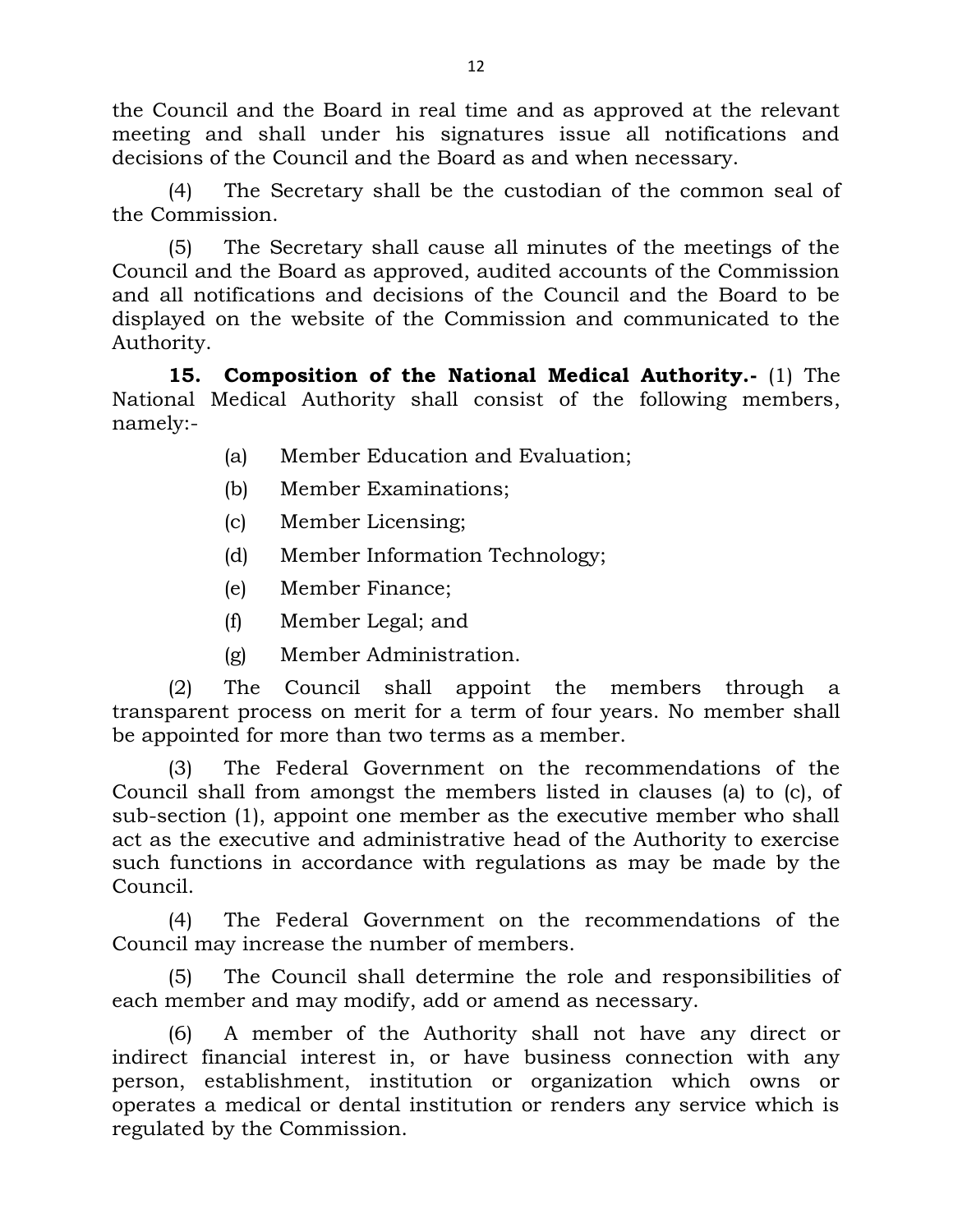the Council and the Board in real time and as approved at the relevant meeting and shall under his signatures issue all notifications and decisions of the Council and the Board as and when necessary.

(4) The Secretary shall be the custodian of the common seal of the Commission.

(5) The Secretary shall cause all minutes of the meetings of the Council and the Board as approved, audited accounts of the Commission and all notifications and decisions of the Council and the Board to be displayed on the website of the Commission and communicated to the Authority.

**15. Composition of the National Medical Authority.-** (1) The National Medical Authority shall consist of the following members, namely:-

- (a) Member Education and Evaluation;
- (b) Member Examinations;
- (c) Member Licensing;
- (d) Member Information Technology;
- (e) Member Finance;
- (f) Member Legal; and
- (g) Member Administration.

(2) The Council shall appoint the members through a transparent process on merit for a term of four years. No member shall be appointed for more than two terms as a member.

(3) The Federal Government on the recommendations of the Council shall from amongst the members listed in clauses (a) to (c), of sub-section (1), appoint one member as the executive member who shall act as the executive and administrative head of the Authority to exercise such functions in accordance with regulations as may be made by the Council.

(4) The Federal Government on the recommendations of the Council may increase the number of members.

(5) The Council shall determine the role and responsibilities of each member and may modify, add or amend as necessary.

(6) A member of the Authority shall not have any direct or indirect financial interest in, or have business connection with any person, establishment, institution or organization which owns or operates a medical or dental institution or renders any service which is regulated by the Commission.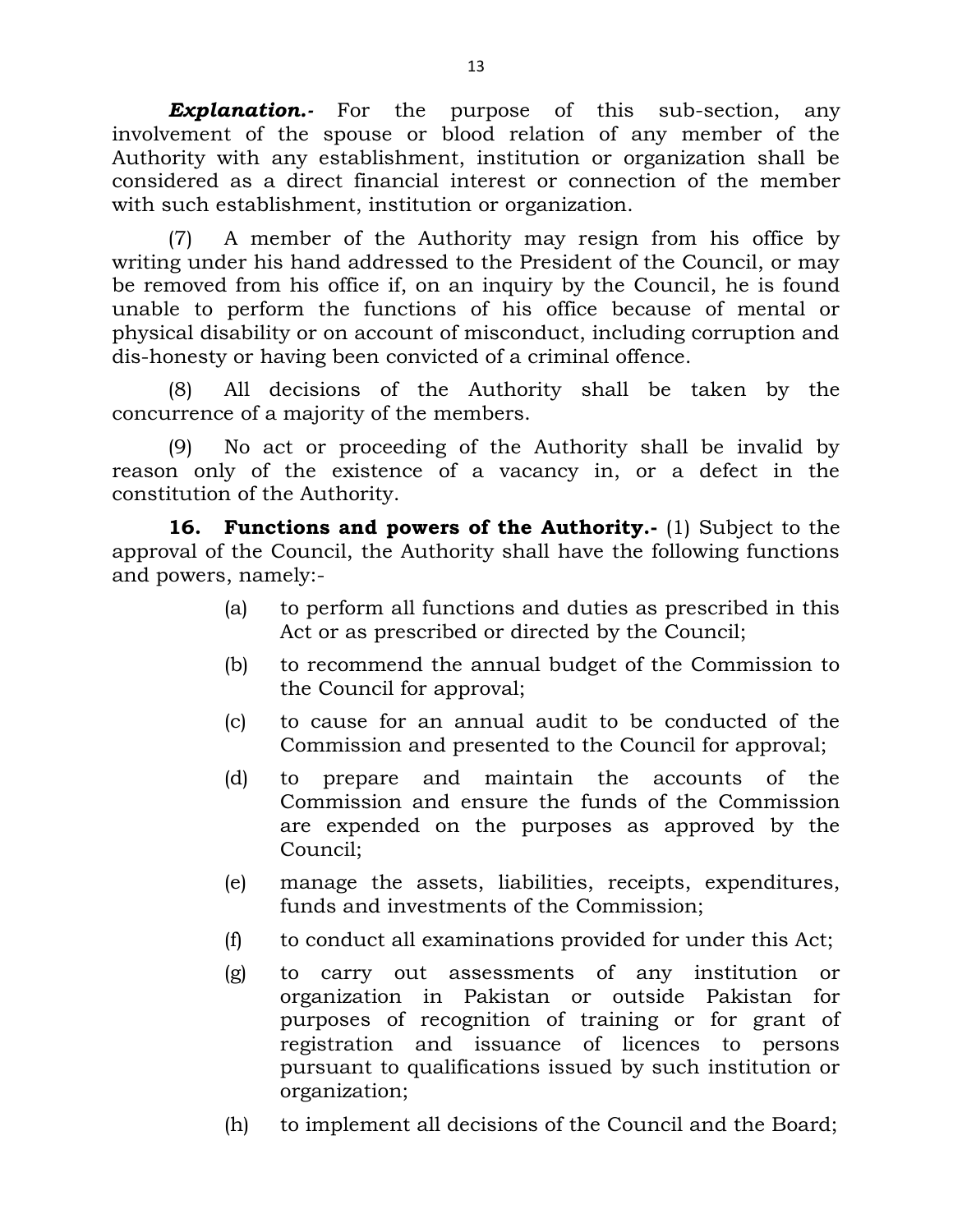**Explanation.**- For the purpose of this sub-section, any involvement of the spouse or blood relation of any member of the Authority with any establishment, institution or organization shall be considered as a direct financial interest or connection of the member with such establishment, institution or organization.

(7) A member of the Authority may resign from his office by writing under his hand addressed to the President of the Council, or may be removed from his office if, on an inquiry by the Council, he is found unable to perform the functions of his office because of mental or physical disability or on account of misconduct, including corruption and dis-honesty or having been convicted of a criminal offence.

(8) All decisions of the Authority shall be taken by the concurrence of a majority of the members.

(9) No act or proceeding of the Authority shall be invalid by reason only of the existence of a vacancy in, or a defect in the constitution of the Authority.

**16. Functions and powers of the Authority.-** (1) Subject to the approval of the Council, the Authority shall have the following functions and powers, namely:-

- (a) to perform all functions and duties as prescribed in this Act or as prescribed or directed by the Council;
- (b) to recommend the annual budget of the Commission to the Council for approval;
- (c) to cause for an annual audit to be conducted of the Commission and presented to the Council for approval;
- (d) to prepare and maintain the accounts of the Commission and ensure the funds of the Commission are expended on the purposes as approved by the Council;
- (e) manage the assets, liabilities, receipts, expenditures, funds and investments of the Commission;
- (f) to conduct all examinations provided for under this Act;
- (g) to carry out assessments of any institution or organization in Pakistan or outside Pakistan for purposes of recognition of training or for grant of registration and issuance of licences to persons pursuant to qualifications issued by such institution or organization;
- (h) to implement all decisions of the Council and the Board;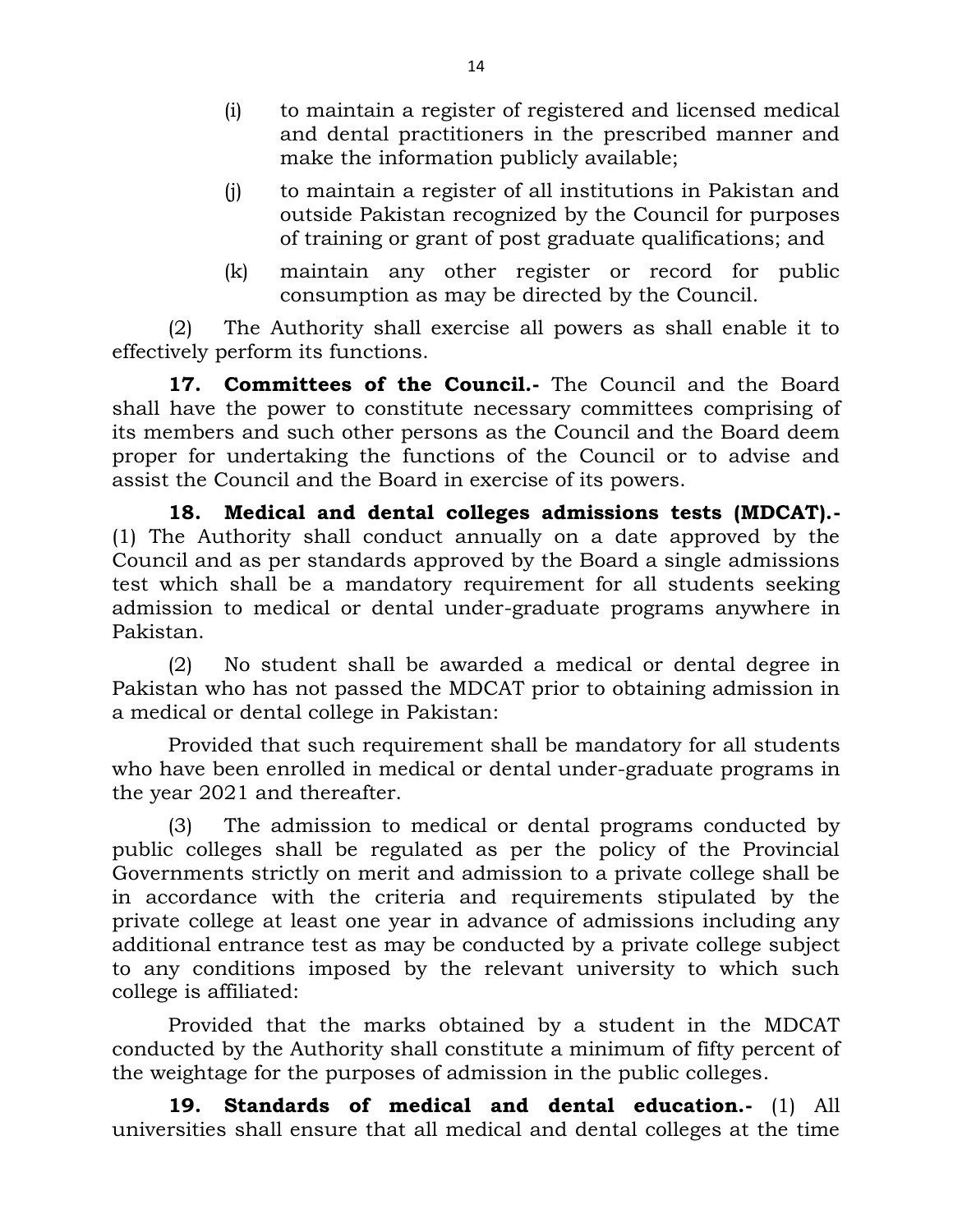- (i) to maintain a register of registered and licensed medical and dental practitioners in the prescribed manner and make the information publicly available;
- (j) to maintain a register of all institutions in Pakistan and outside Pakistan recognized by the Council for purposes of training or grant of post graduate qualifications; and
- (k) maintain any other register or record for public consumption as may be directed by the Council.

(2) The Authority shall exercise all powers as shall enable it to effectively perform its functions.

**17. Committees of the Council.-** The Council and the Board shall have the power to constitute necessary committees comprising of its members and such other persons as the Council and the Board deem proper for undertaking the functions of the Council or to advise and assist the Council and the Board in exercise of its powers.

**18. Medical and dental colleges admissions tests (MDCAT).-** (1) The Authority shall conduct annually on a date approved by the Council and as per standards approved by the Board a single admissions test which shall be a mandatory requirement for all students seeking admission to medical or dental under-graduate programs anywhere in Pakistan.

(2) No student shall be awarded a medical or dental degree in Pakistan who has not passed the MDCAT prior to obtaining admission in a medical or dental college in Pakistan:

Provided that such requirement shall be mandatory for all students who have been enrolled in medical or dental under-graduate programs in the year 2021 and thereafter.

(3) The admission to medical or dental programs conducted by public colleges shall be regulated as per the policy of the Provincial Governments strictly on merit and admission to a private college shall be in accordance with the criteria and requirements stipulated by the private college at least one year in advance of admissions including any additional entrance test as may be conducted by a private college subject to any conditions imposed by the relevant university to which such college is affiliated:

Provided that the marks obtained by a student in the MDCAT conducted by the Authority shall constitute a minimum of fifty percent of the weightage for the purposes of admission in the public colleges.

**19. Standards of medical and dental education.-** (1) All universities shall ensure that all medical and dental colleges at the time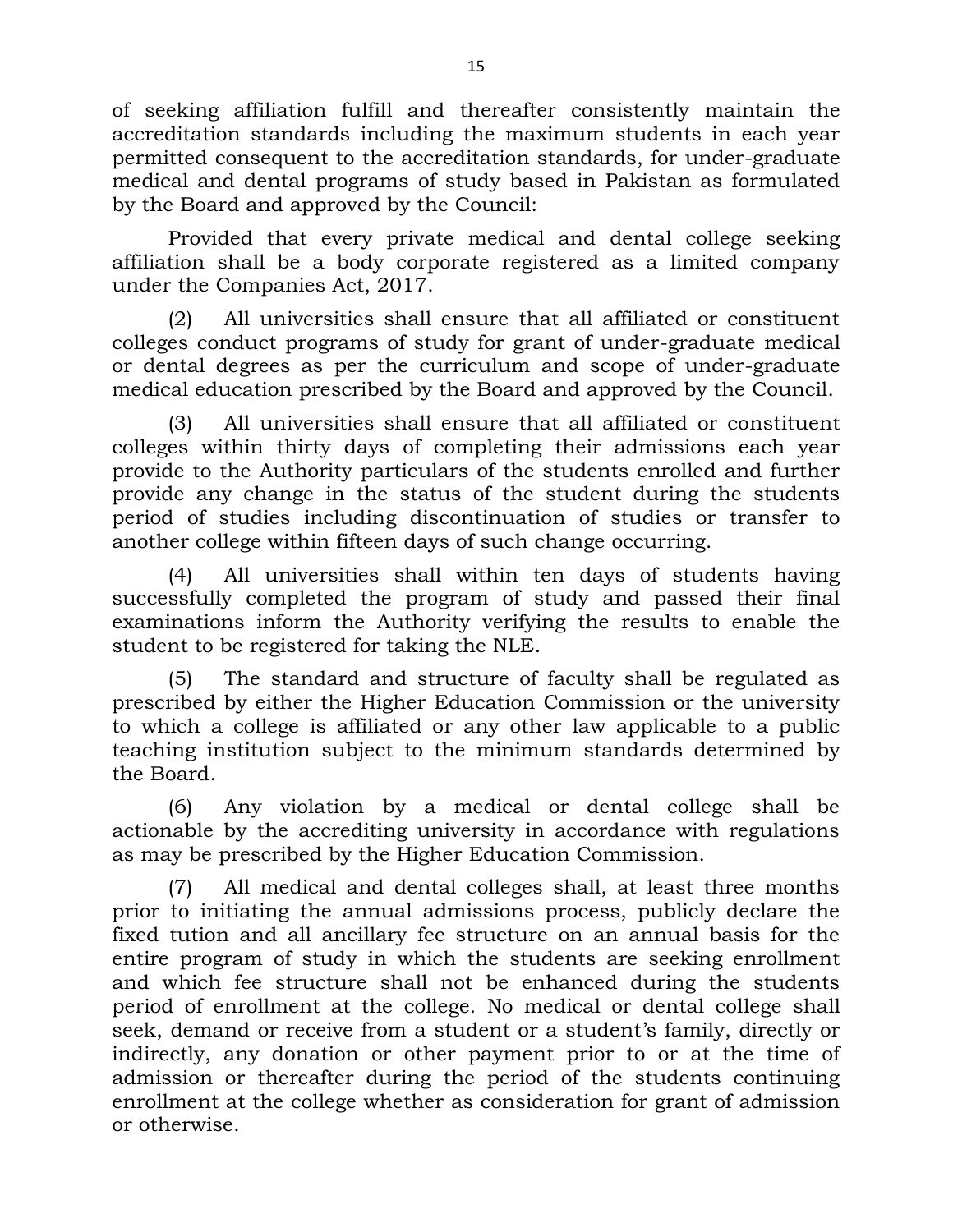of seeking affiliation fulfill and thereafter consistently maintain the accreditation standards including the maximum students in each year permitted consequent to the accreditation standards, for under-graduate medical and dental programs of study based in Pakistan as formulated by the Board and approved by the Council:

Provided that every private medical and dental college seeking affiliation shall be a body corporate registered as a limited company under the Companies Act, 2017.

(2) All universities shall ensure that all affiliated or constituent colleges conduct programs of study for grant of under-graduate medical or dental degrees as per the curriculum and scope of under-graduate medical education prescribed by the Board and approved by the Council.

(3) All universities shall ensure that all affiliated or constituent colleges within thirty days of completing their admissions each year provide to the Authority particulars of the students enrolled and further provide any change in the status of the student during the students period of studies including discontinuation of studies or transfer to another college within fifteen days of such change occurring.

(4) All universities shall within ten days of students having successfully completed the program of study and passed their final examinations inform the Authority verifying the results to enable the student to be registered for taking the NLE.

(5) The standard and structure of faculty shall be regulated as prescribed by either the Higher Education Commission or the university to which a college is affiliated or any other law applicable to a public teaching institution subject to the minimum standards determined by the Board.

(6) Any violation by a medical or dental college shall be actionable by the accrediting university in accordance with regulations as may be prescribed by the Higher Education Commission.

(7) All medical and dental colleges shall, at least three months prior to initiating the annual admissions process, publicly declare the fixed tution and all ancillary fee structure on an annual basis for the entire program of study in which the students are seeking enrollment and which fee structure shall not be enhanced during the students period of enrollment at the college. No medical or dental college shall seek, demand or receive from a student or a student's family, directly or indirectly, any donation or other payment prior to or at the time of admission or thereafter during the period of the students continuing enrollment at the college whether as consideration for grant of admission or otherwise.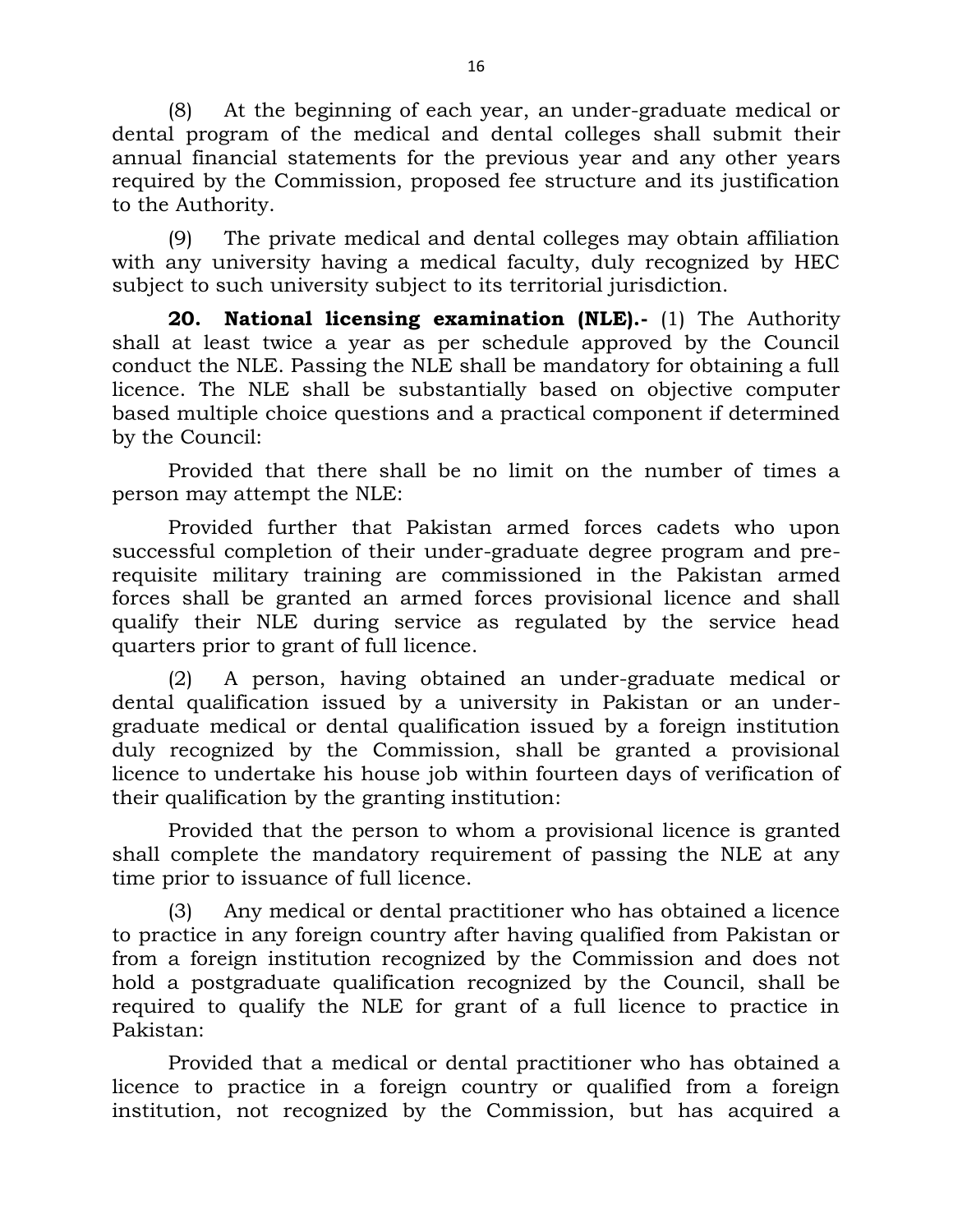(8) At the beginning of each year, an under-graduate medical or dental program of the medical and dental colleges shall submit their annual financial statements for the previous year and any other years required by the Commission, proposed fee structure and its justification to the Authority.

(9) The private medical and dental colleges may obtain affiliation with any university having a medical faculty, duly recognized by HEC subject to such university subject to its territorial jurisdiction.

**20. National licensing examination (NLE).-** (1) The Authority shall at least twice a year as per schedule approved by the Council conduct the NLE. Passing the NLE shall be mandatory for obtaining a full licence. The NLE shall be substantially based on objective computer based multiple choice questions and a practical component if determined by the Council:

Provided that there shall be no limit on the number of times a person may attempt the NLE:

Provided further that Pakistan armed forces cadets who upon successful completion of their under-graduate degree program and prerequisite military training are commissioned in the Pakistan armed forces shall be granted an armed forces provisional licence and shall qualify their NLE during service as regulated by the service head quarters prior to grant of full licence.

(2) A person, having obtained an under-graduate medical or dental qualification issued by a university in Pakistan or an undergraduate medical or dental qualification issued by a foreign institution duly recognized by the Commission, shall be granted a provisional licence to undertake his house job within fourteen days of verification of their qualification by the granting institution:

Provided that the person to whom a provisional licence is granted shall complete the mandatory requirement of passing the NLE at any time prior to issuance of full licence.

(3) Any medical or dental practitioner who has obtained a licence to practice in any foreign country after having qualified from Pakistan or from a foreign institution recognized by the Commission and does not hold a postgraduate qualification recognized by the Council, shall be required to qualify the NLE for grant of a full licence to practice in Pakistan:

Provided that a medical or dental practitioner who has obtained a licence to practice in a foreign country or qualified from a foreign institution, not recognized by the Commission, but has acquired a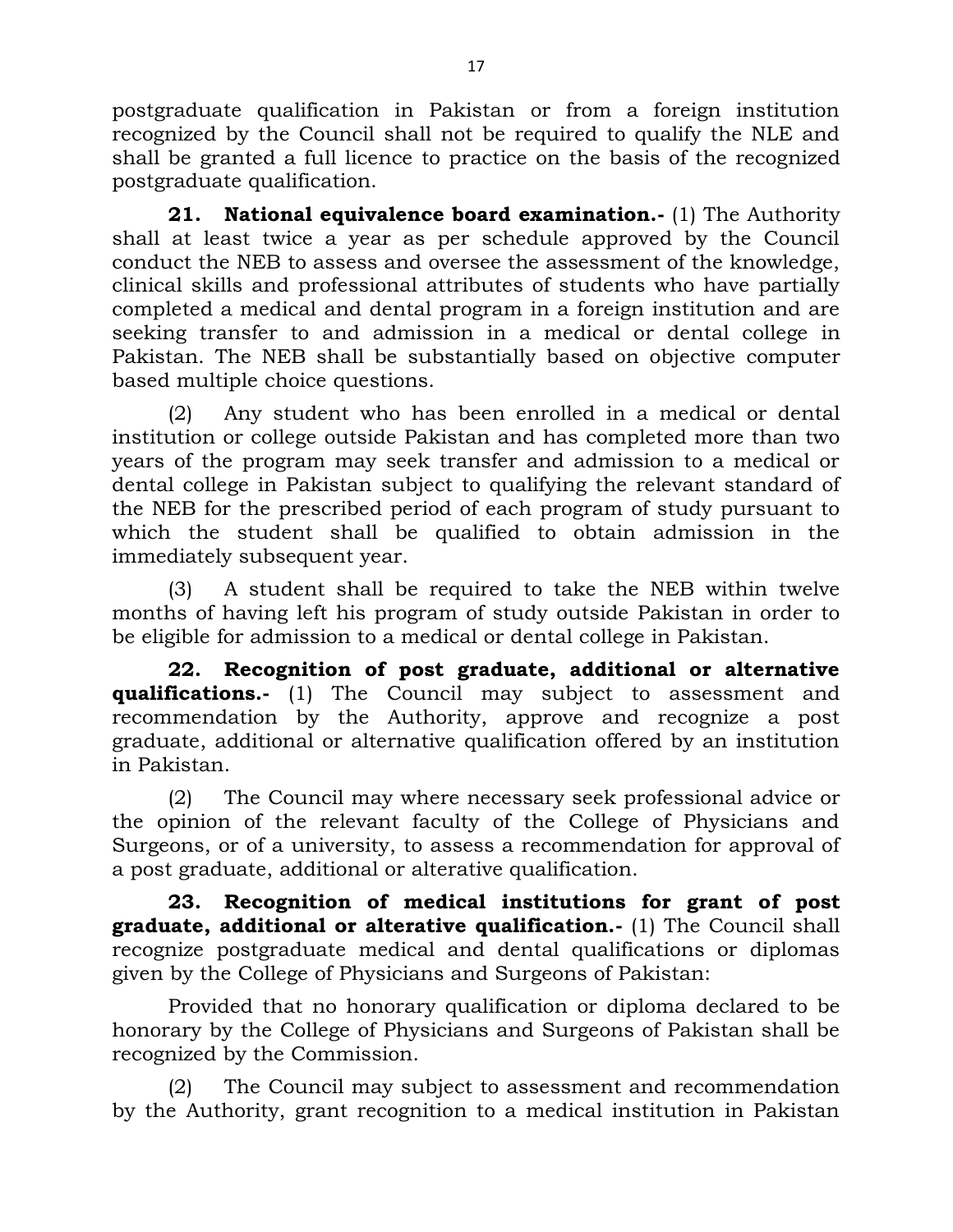postgraduate qualification in Pakistan or from a foreign institution recognized by the Council shall not be required to qualify the NLE and shall be granted a full licence to practice on the basis of the recognized postgraduate qualification.

**21. National equivalence board examination.-** (1) The Authority shall at least twice a year as per schedule approved by the Council conduct the NEB to assess and oversee the assessment of the knowledge, clinical skills and professional attributes of students who have partially completed a medical and dental program in a foreign institution and are seeking transfer to and admission in a medical or dental college in Pakistan. The NEB shall be substantially based on objective computer based multiple choice questions.

(2) Any student who has been enrolled in a medical or dental institution or college outside Pakistan and has completed more than two years of the program may seek transfer and admission to a medical or dental college in Pakistan subject to qualifying the relevant standard of the NEB for the prescribed period of each program of study pursuant to which the student shall be qualified to obtain admission in the immediately subsequent year.

(3) A student shall be required to take the NEB within twelve months of having left his program of study outside Pakistan in order to be eligible for admission to a medical or dental college in Pakistan.

**22. Recognition of post graduate, additional or alternative qualifications.-** (1) The Council may subject to assessment and recommendation by the Authority, approve and recognize a post graduate, additional or alternative qualification offered by an institution in Pakistan.

(2) The Council may where necessary seek professional advice or the opinion of the relevant faculty of the College of Physicians and Surgeons, or of a university, to assess a recommendation for approval of a post graduate, additional or alterative qualification.

**23. Recognition of medical institutions for grant of post graduate, additional or alterative qualification.-** (1) The Council shall recognize postgraduate medical and dental qualifications or diplomas given by the College of Physicians and Surgeons of Pakistan:

Provided that no honorary qualification or diploma declared to be honorary by the College of Physicians and Surgeons of Pakistan shall be recognized by the Commission.

(2) The Council may subject to assessment and recommendation by the Authority, grant recognition to a medical institution in Pakistan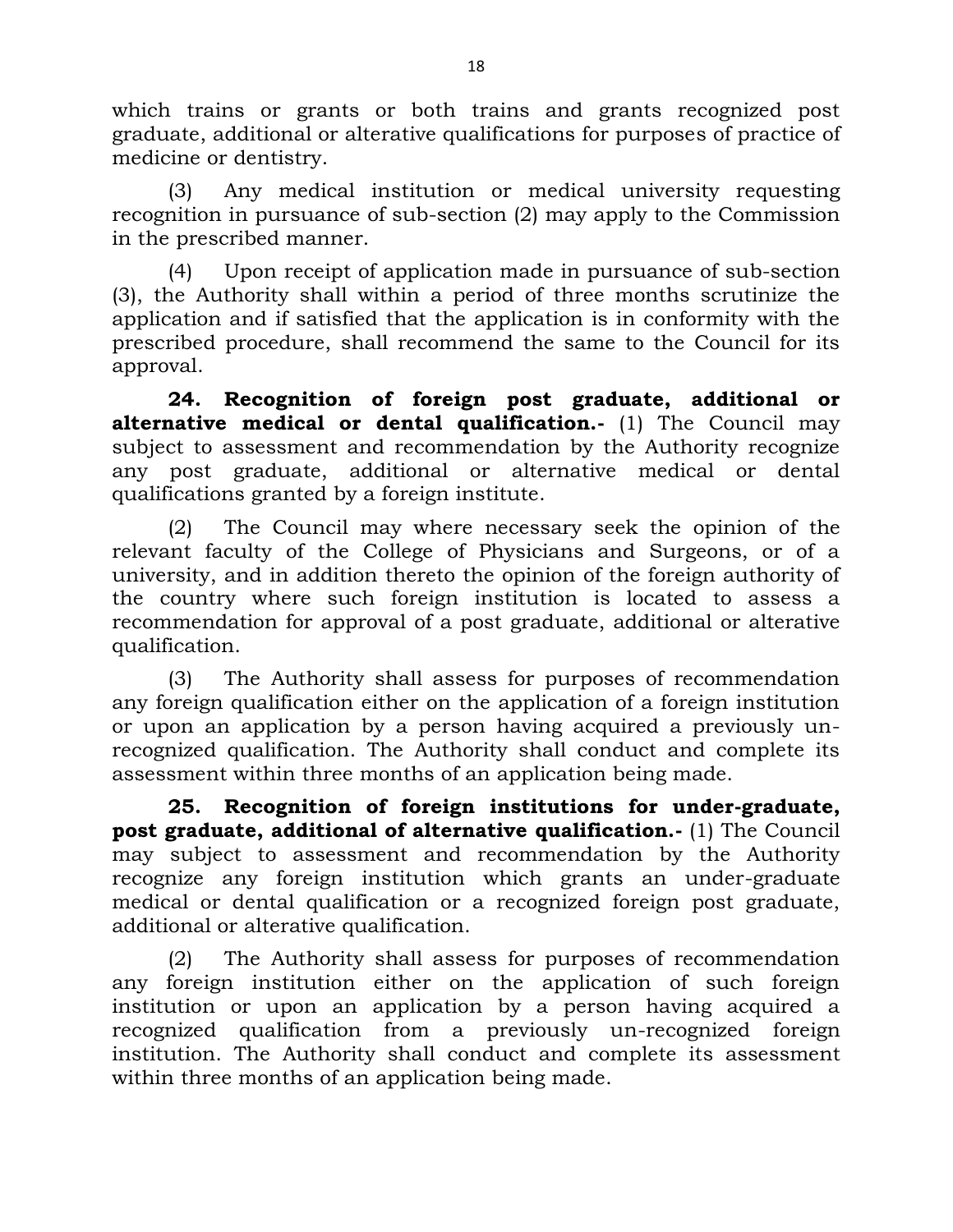which trains or grants or both trains and grants recognized post graduate, additional or alterative qualifications for purposes of practice of medicine or dentistry.

(3) Any medical institution or medical university requesting recognition in pursuance of sub-section (2) may apply to the Commission in the prescribed manner.

(4) Upon receipt of application made in pursuance of sub-section (3), the Authority shall within a period of three months scrutinize the application and if satisfied that the application is in conformity with the prescribed procedure, shall recommend the same to the Council for its approval.

**24. Recognition of foreign post graduate, additional or alternative medical or dental qualification.-** (1) The Council may subject to assessment and recommendation by the Authority recognize any post graduate, additional or alternative medical or dental qualifications granted by a foreign institute.

(2) The Council may where necessary seek the opinion of the relevant faculty of the College of Physicians and Surgeons, or of a university, and in addition thereto the opinion of the foreign authority of the country where such foreign institution is located to assess a recommendation for approval of a post graduate, additional or alterative qualification.

(3) The Authority shall assess for purposes of recommendation any foreign qualification either on the application of a foreign institution or upon an application by a person having acquired a previously unrecognized qualification. The Authority shall conduct and complete its assessment within three months of an application being made.

**25. Recognition of foreign institutions for under-graduate, post graduate, additional of alternative qualification.-** (1) The Council may subject to assessment and recommendation by the Authority recognize any foreign institution which grants an under-graduate medical or dental qualification or a recognized foreign post graduate, additional or alterative qualification.

(2) The Authority shall assess for purposes of recommendation any foreign institution either on the application of such foreign institution or upon an application by a person having acquired a recognized qualification from a previously un-recognized foreign institution. The Authority shall conduct and complete its assessment within three months of an application being made.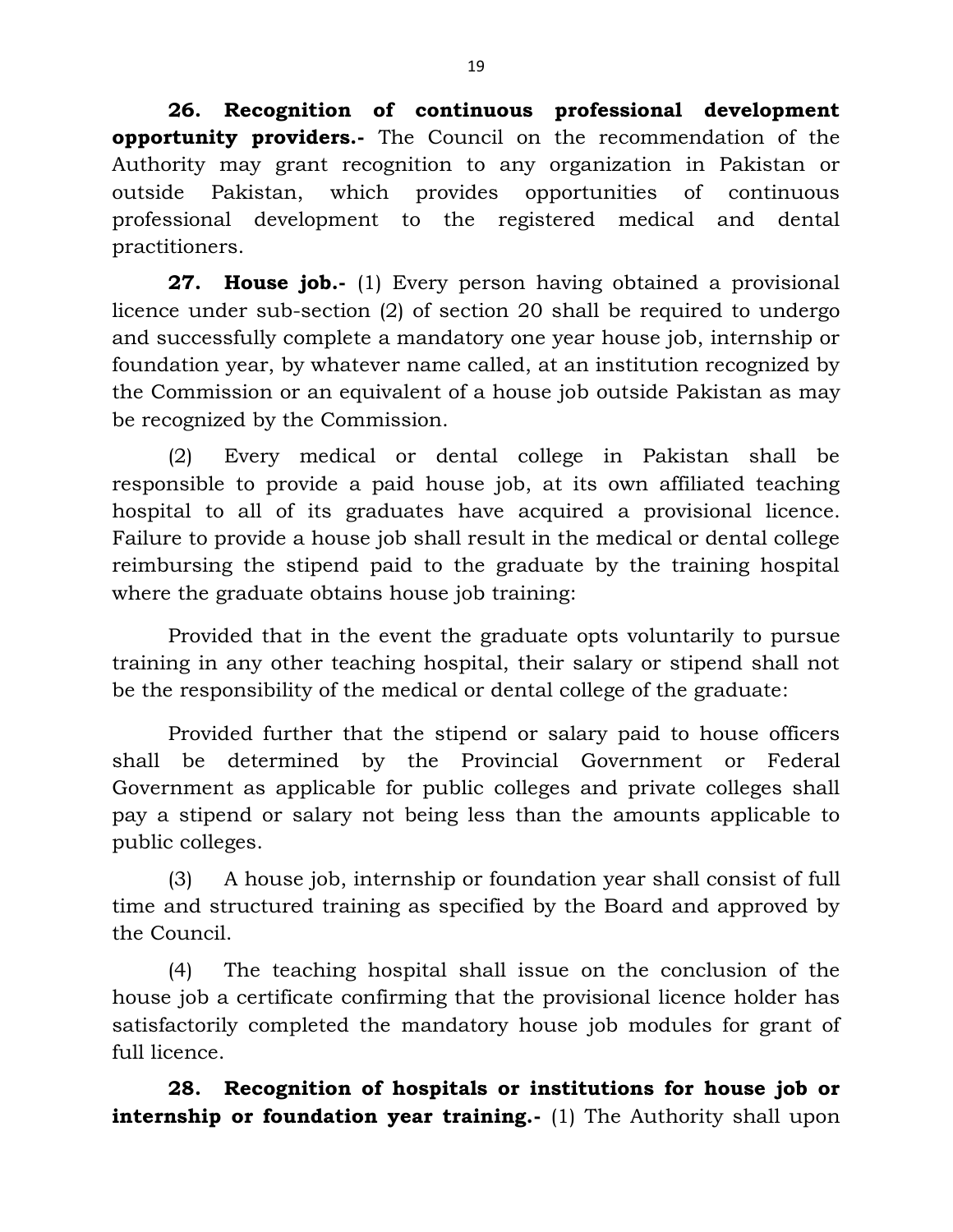**26. Recognition of continuous professional development opportunity providers.-** The Council on the recommendation of the Authority may grant recognition to any organization in Pakistan or outside Pakistan, which provides opportunities of continuous professional development to the registered medical and dental practitioners.

**27. House job.-** (1) Every person having obtained a provisional licence under sub-section (2) of section 20 shall be required to undergo and successfully complete a mandatory one year house job, internship or foundation year, by whatever name called, at an institution recognized by the Commission or an equivalent of a house job outside Pakistan as may be recognized by the Commission.

(2) Every medical or dental college in Pakistan shall be responsible to provide a paid house job, at its own affiliated teaching hospital to all of its graduates have acquired a provisional licence. Failure to provide a house job shall result in the medical or dental college reimbursing the stipend paid to the graduate by the training hospital where the graduate obtains house job training:

Provided that in the event the graduate opts voluntarily to pursue training in any other teaching hospital, their salary or stipend shall not be the responsibility of the medical or dental college of the graduate:

Provided further that the stipend or salary paid to house officers shall be determined by the Provincial Government or Federal Government as applicable for public colleges and private colleges shall pay a stipend or salary not being less than the amounts applicable to public colleges.

(3) A house job, internship or foundation year shall consist of full time and structured training as specified by the Board and approved by the Council.

(4) The teaching hospital shall issue on the conclusion of the house job a certificate confirming that the provisional licence holder has satisfactorily completed the mandatory house job modules for grant of full licence.

**28. Recognition of hospitals or institutions for house job or internship or foundation year training.-** (1) The Authority shall upon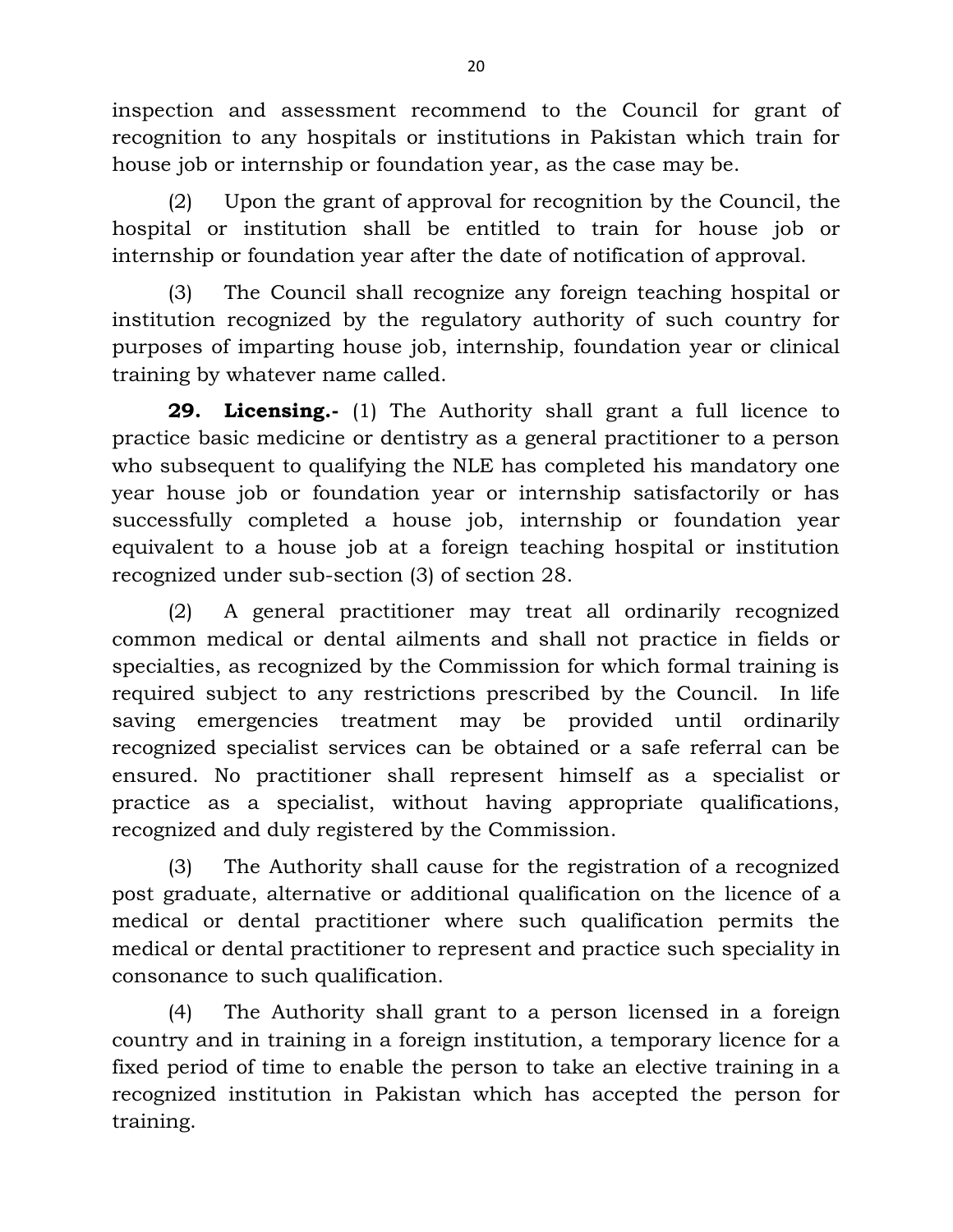inspection and assessment recommend to the Council for grant of recognition to any hospitals or institutions in Pakistan which train for house job or internship or foundation year, as the case may be.

(2) Upon the grant of approval for recognition by the Council, the hospital or institution shall be entitled to train for house job or internship or foundation year after the date of notification of approval.

(3) The Council shall recognize any foreign teaching hospital or institution recognized by the regulatory authority of such country for purposes of imparting house job, internship, foundation year or clinical training by whatever name called.

**29. Licensing.-** (1) The Authority shall grant a full licence to practice basic medicine or dentistry as a general practitioner to a person who subsequent to qualifying the NLE has completed his mandatory one year house job or foundation year or internship satisfactorily or has successfully completed a house job, internship or foundation year equivalent to a house job at a foreign teaching hospital or institution recognized under sub-section (3) of section 28.

(2) A general practitioner may treat all ordinarily recognized common medical or dental ailments and shall not practice in fields or specialties, as recognized by the Commission for which formal training is required subject to any restrictions prescribed by the Council. In life saving emergencies treatment may be provided until ordinarily recognized specialist services can be obtained or a safe referral can be ensured. No practitioner shall represent himself as a specialist or practice as a specialist, without having appropriate qualifications, recognized and duly registered by the Commission.

(3) The Authority shall cause for the registration of a recognized post graduate, alternative or additional qualification on the licence of a medical or dental practitioner where such qualification permits the medical or dental practitioner to represent and practice such speciality in consonance to such qualification.

(4) The Authority shall grant to a person licensed in a foreign country and in training in a foreign institution, a temporary licence for a fixed period of time to enable the person to take an elective training in a recognized institution in Pakistan which has accepted the person for training.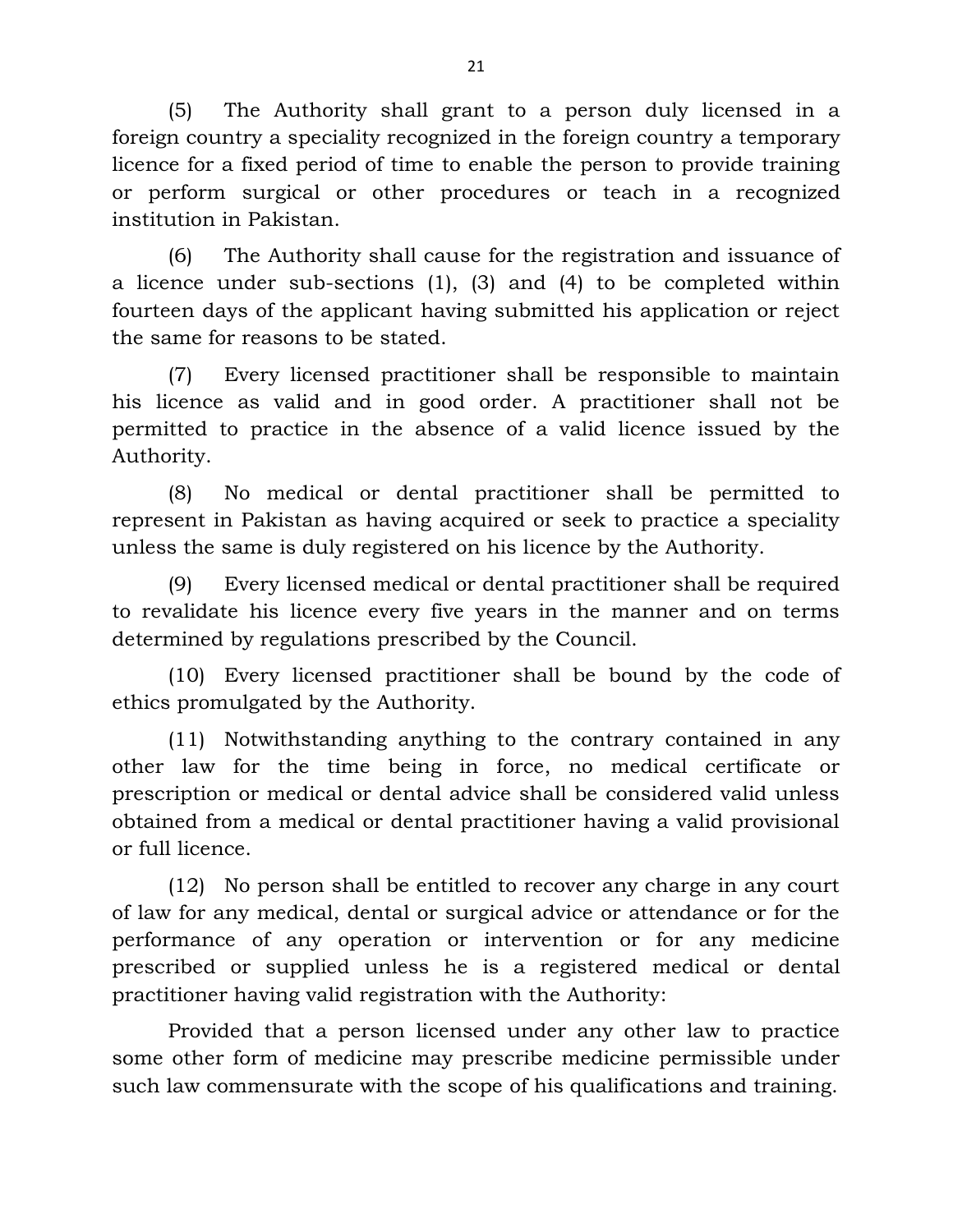(5) The Authority shall grant to a person duly licensed in a foreign country a speciality recognized in the foreign country a temporary licence for a fixed period of time to enable the person to provide training or perform surgical or other procedures or teach in a recognized institution in Pakistan.

(6) The Authority shall cause for the registration and issuance of a licence under sub-sections (1), (3) and (4) to be completed within fourteen days of the applicant having submitted his application or reject the same for reasons to be stated.

(7) Every licensed practitioner shall be responsible to maintain his licence as valid and in good order. A practitioner shall not be permitted to practice in the absence of a valid licence issued by the Authority.

(8) No medical or dental practitioner shall be permitted to represent in Pakistan as having acquired or seek to practice a speciality unless the same is duly registered on his licence by the Authority.

(9) Every licensed medical or dental practitioner shall be required to revalidate his licence every five years in the manner and on terms determined by regulations prescribed by the Council.

(10) Every licensed practitioner shall be bound by the code of ethics promulgated by the Authority.

(11) Notwithstanding anything to the contrary contained in any other law for the time being in force, no medical certificate or prescription or medical or dental advice shall be considered valid unless obtained from a medical or dental practitioner having a valid provisional or full licence.

(12) No person shall be entitled to recover any charge in any court of law for any medical, dental or surgical advice or attendance or for the performance of any operation or intervention or for any medicine prescribed or supplied unless he is a registered medical or dental practitioner having valid registration with the Authority:

Provided that a person licensed under any other law to practice some other form of medicine may prescribe medicine permissible under such law commensurate with the scope of his qualifications and training.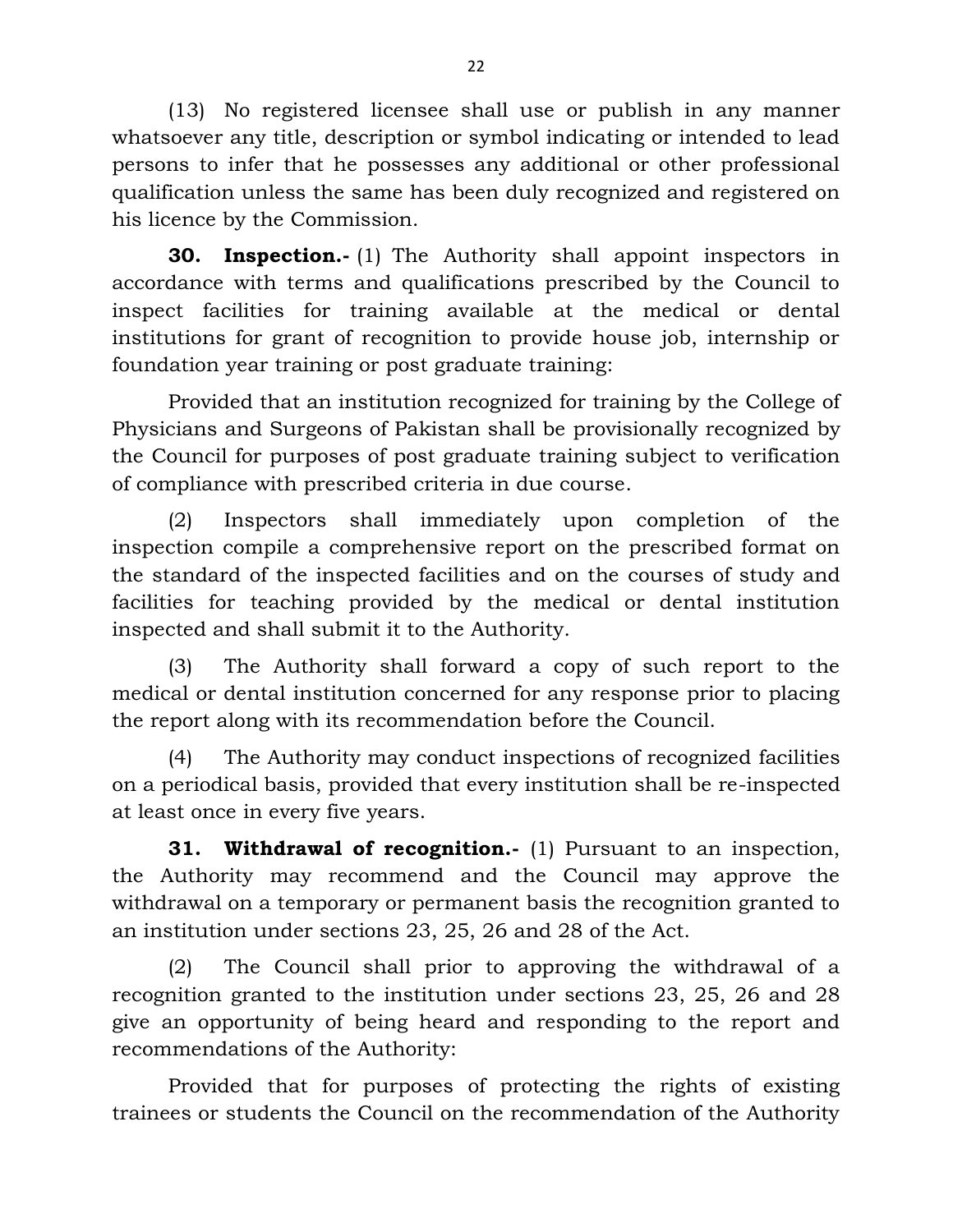(13) No registered licensee shall use or publish in any manner whatsoever any title, description or symbol indicating or intended to lead persons to infer that he possesses any additional or other professional qualification unless the same has been duly recognized and registered on his licence by the Commission.

**30. Inspection.-** (1) The Authority shall appoint inspectors in accordance with terms and qualifications prescribed by the Council to inspect facilities for training available at the medical or dental institutions for grant of recognition to provide house job, internship or foundation year training or post graduate training:

Provided that an institution recognized for training by the College of Physicians and Surgeons of Pakistan shall be provisionally recognized by the Council for purposes of post graduate training subject to verification of compliance with prescribed criteria in due course.

(2) Inspectors shall immediately upon completion of the inspection compile a comprehensive report on the prescribed format on the standard of the inspected facilities and on the courses of study and facilities for teaching provided by the medical or dental institution inspected and shall submit it to the Authority.

(3) The Authority shall forward a copy of such report to the medical or dental institution concerned for any response prior to placing the report along with its recommendation before the Council.

(4) The Authority may conduct inspections of recognized facilities on a periodical basis, provided that every institution shall be re-inspected at least once in every five years.

**31. Withdrawal of recognition.-** (1) Pursuant to an inspection, the Authority may recommend and the Council may approve the withdrawal on a temporary or permanent basis the recognition granted to an institution under sections 23, 25, 26 and 28 of the Act.

(2) The Council shall prior to approving the withdrawal of a recognition granted to the institution under sections 23, 25, 26 and 28 give an opportunity of being heard and responding to the report and recommendations of the Authority:

Provided that for purposes of protecting the rights of existing trainees or students the Council on the recommendation of the Authority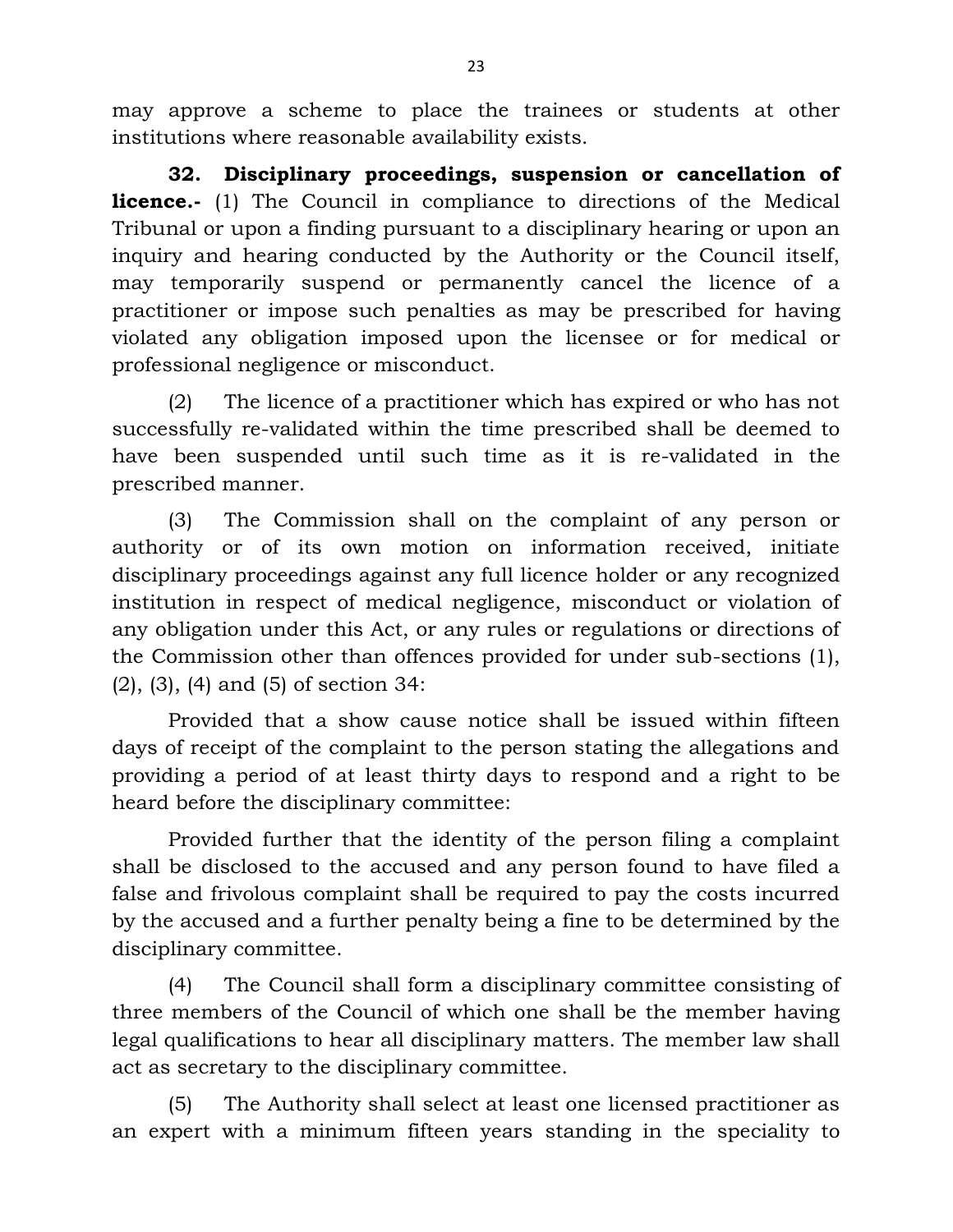may approve a scheme to place the trainees or students at other institutions where reasonable availability exists.

**32. Disciplinary proceedings, suspension or cancellation of licence.**- (1) The Council in compliance to directions of the Medical Tribunal or upon a finding pursuant to a disciplinary hearing or upon an inquiry and hearing conducted by the Authority or the Council itself, may temporarily suspend or permanently cancel the licence of a practitioner or impose such penalties as may be prescribed for having violated any obligation imposed upon the licensee or for medical or professional negligence or misconduct.

(2) The licence of a practitioner which has expired or who has not successfully re-validated within the time prescribed shall be deemed to have been suspended until such time as it is re-validated in the prescribed manner.

(3) The Commission shall on the complaint of any person or authority or of its own motion on information received, initiate disciplinary proceedings against any full licence holder or any recognized institution in respect of medical negligence, misconduct or violation of any obligation under this Act, or any rules or regulations or directions of the Commission other than offences provided for under sub-sections (1), (2), (3), (4) and (5) of section 34:

Provided that a show cause notice shall be issued within fifteen days of receipt of the complaint to the person stating the allegations and providing a period of at least thirty days to respond and a right to be heard before the disciplinary committee:

Provided further that the identity of the person filing a complaint shall be disclosed to the accused and any person found to have filed a false and frivolous complaint shall be required to pay the costs incurred by the accused and a further penalty being a fine to be determined by the disciplinary committee.

(4) The Council shall form a disciplinary committee consisting of three members of the Council of which one shall be the member having legal qualifications to hear all disciplinary matters. The member law shall act as secretary to the disciplinary committee.

(5) The Authority shall select at least one licensed practitioner as an expert with a minimum fifteen years standing in the speciality to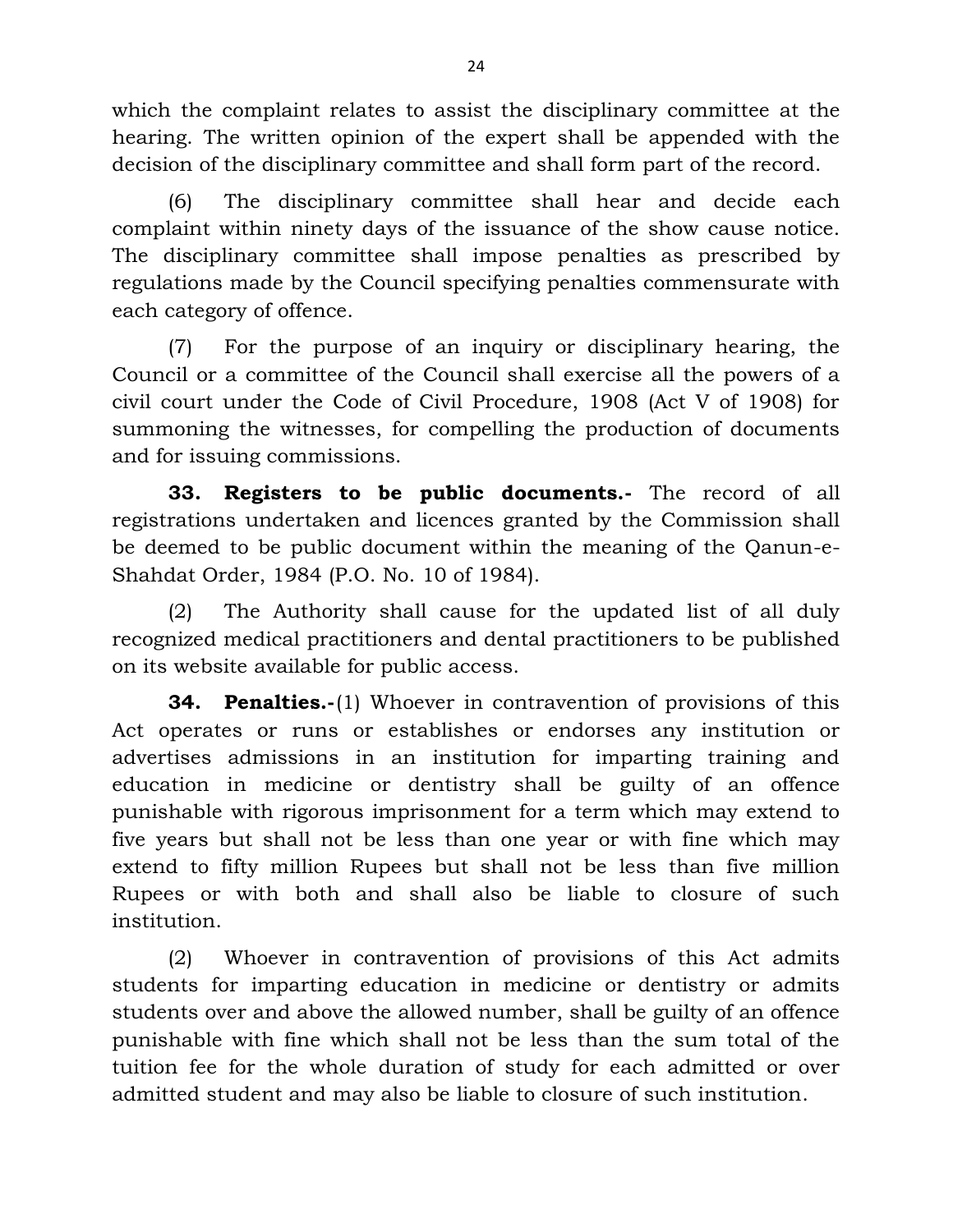which the complaint relates to assist the disciplinary committee at the hearing. The written opinion of the expert shall be appended with the decision of the disciplinary committee and shall form part of the record.

(6) The disciplinary committee shall hear and decide each complaint within ninety days of the issuance of the show cause notice. The disciplinary committee shall impose penalties as prescribed by regulations made by the Council specifying penalties commensurate with each category of offence.

(7) For the purpose of an inquiry or disciplinary hearing, the Council or a committee of the Council shall exercise all the powers of a civil court under the Code of Civil Procedure, 1908 (Act V of 1908) for summoning the witnesses, for compelling the production of documents and for issuing commissions.

**33. Registers to be public documents.-** The record of all registrations undertaken and licences granted by the Commission shall be deemed to be public document within the meaning of the Qanun-e-Shahdat Order, 1984 (P.O. No. 10 of 1984).

(2) The Authority shall cause for the updated list of all duly recognized medical practitioners and dental practitioners to be published on its website available for public access.

**34. Penalties.-**(1) Whoever in contravention of provisions of this Act operates or runs or establishes or endorses any institution or advertises admissions in an institution for imparting training and education in medicine or dentistry shall be guilty of an offence punishable with rigorous imprisonment for a term which may extend to five years but shall not be less than one year or with fine which may extend to fifty million Rupees but shall not be less than five million Rupees or with both and shall also be liable to closure of such institution.

(2) Whoever in contravention of provisions of this Act admits students for imparting education in medicine or dentistry or admits students over and above the allowed number, shall be guilty of an offence punishable with fine which shall not be less than the sum total of the tuition fee for the whole duration of study for each admitted or over admitted student and may also be liable to closure of such institution.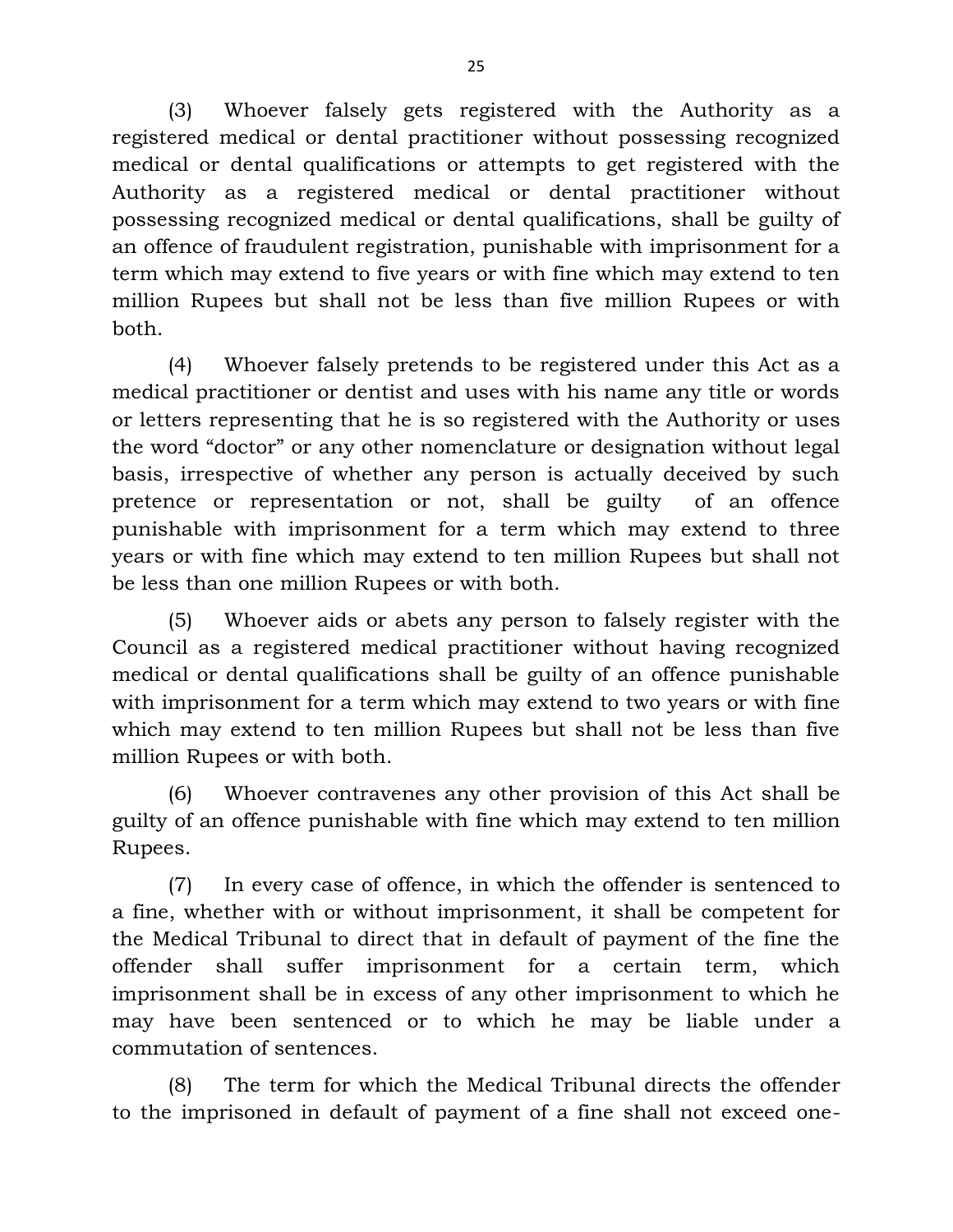(3) Whoever falsely gets registered with the Authority as a registered medical or dental practitioner without possessing recognized medical or dental qualifications or attempts to get registered with the Authority as a registered medical or dental practitioner without possessing recognized medical or dental qualifications, shall be guilty of an offence of fraudulent registration, punishable with imprisonment for a term which may extend to five years or with fine which may extend to ten million Rupees but shall not be less than five million Rupees or with both.

(4) Whoever falsely pretends to be registered under this Act as a medical practitioner or dentist and uses with his name any title or words or letters representing that he is so registered with the Authority or uses the word "doctor" or any other nomenclature or designation without legal basis, irrespective of whether any person is actually deceived by such pretence or representation or not, shall be guilty of an offence punishable with imprisonment for a term which may extend to three years or with fine which may extend to ten million Rupees but shall not be less than one million Rupees or with both.

(5) Whoever aids or abets any person to falsely register with the Council as a registered medical practitioner without having recognized medical or dental qualifications shall be guilty of an offence punishable with imprisonment for a term which may extend to two years or with fine which may extend to ten million Rupees but shall not be less than five million Rupees or with both.

(6) Whoever contravenes any other provision of this Act shall be guilty of an offence punishable with fine which may extend to ten million Rupees.

(7) In every case of offence, in which the offender is sentenced to a fine, whether with or without imprisonment, it shall be competent for the Medical Tribunal to direct that in default of payment of the fine the offender shall suffer imprisonment for a certain term, which imprisonment shall be in excess of any other imprisonment to which he may have been sentenced or to which he may be liable under a commutation of sentences.

(8) The term for which the Medical Tribunal directs the offender to the imprisoned in default of payment of a fine shall not exceed one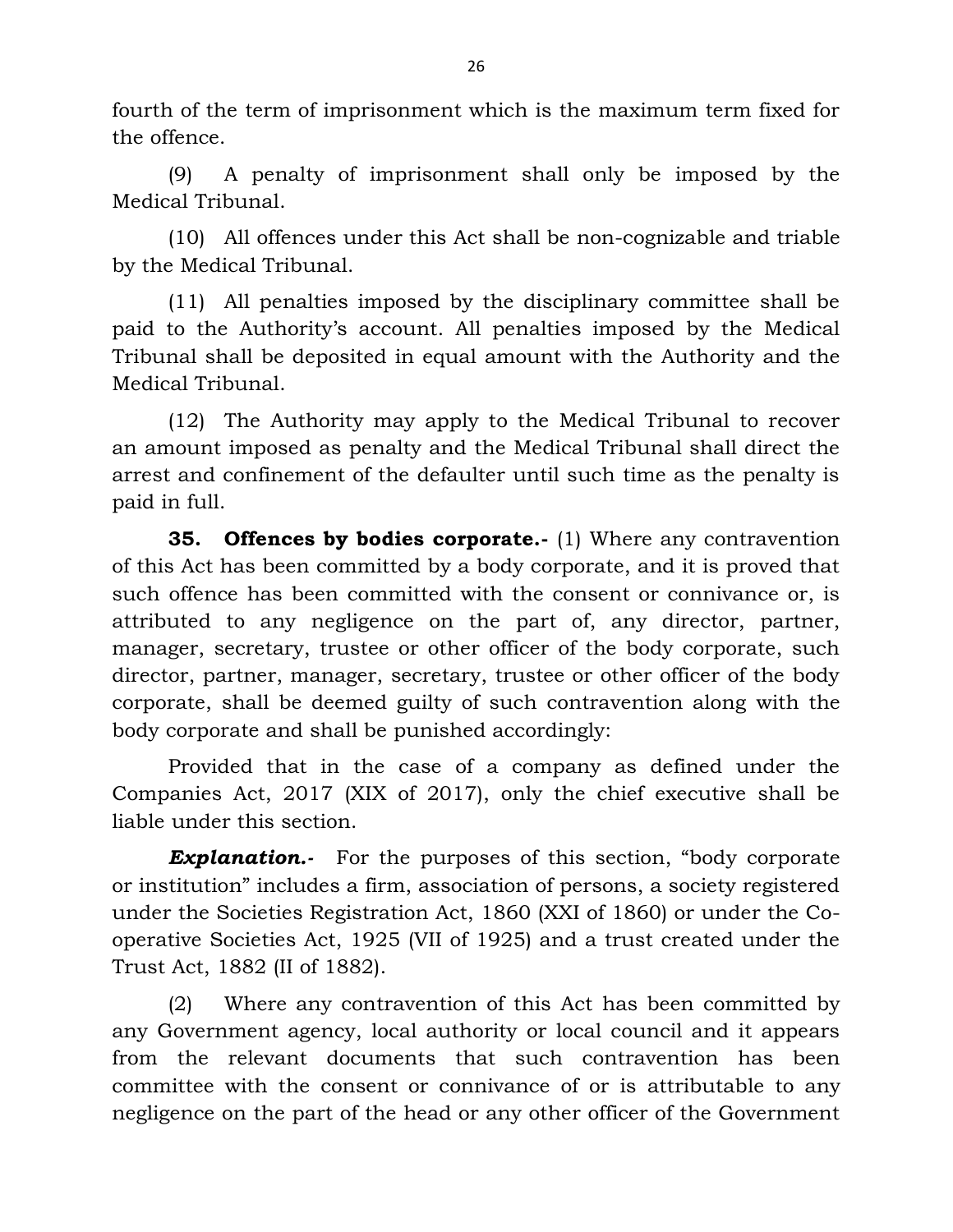fourth of the term of imprisonment which is the maximum term fixed for the offence.

(9) A penalty of imprisonment shall only be imposed by the Medical Tribunal.

(10) All offences under this Act shall be non-cognizable and triable by the Medical Tribunal.

(11) All penalties imposed by the disciplinary committee shall be paid to the Authority's account. All penalties imposed by the Medical Tribunal shall be deposited in equal amount with the Authority and the Medical Tribunal.

(12) The Authority may apply to the Medical Tribunal to recover an amount imposed as penalty and the Medical Tribunal shall direct the arrest and confinement of the defaulter until such time as the penalty is paid in full.

**35. Offences by bodies corporate.-** (1) Where any contravention of this Act has been committed by a body corporate, and it is proved that such offence has been committed with the consent or connivance or, is attributed to any negligence on the part of, any director, partner, manager, secretary, trustee or other officer of the body corporate, such director, partner, manager, secretary, trustee or other officer of the body corporate, shall be deemed guilty of such contravention along with the body corporate and shall be punished accordingly:

Provided that in the case of a company as defined under the Companies Act, 2017 (XIX of 2017), only the chief executive shall be liable under this section.

*Explanation.-* For the purposes of this section, "body corporate or institution" includes a firm, association of persons, a society registered under the Societies Registration Act, 1860 (XXI of 1860) or under the Cooperative Societies Act, 1925 (VII of 1925) and a trust created under the Trust Act, 1882 (II of 1882).

(2) Where any contravention of this Act has been committed by any Government agency, local authority or local council and it appears from the relevant documents that such contravention has been committee with the consent or connivance of or is attributable to any negligence on the part of the head or any other officer of the Government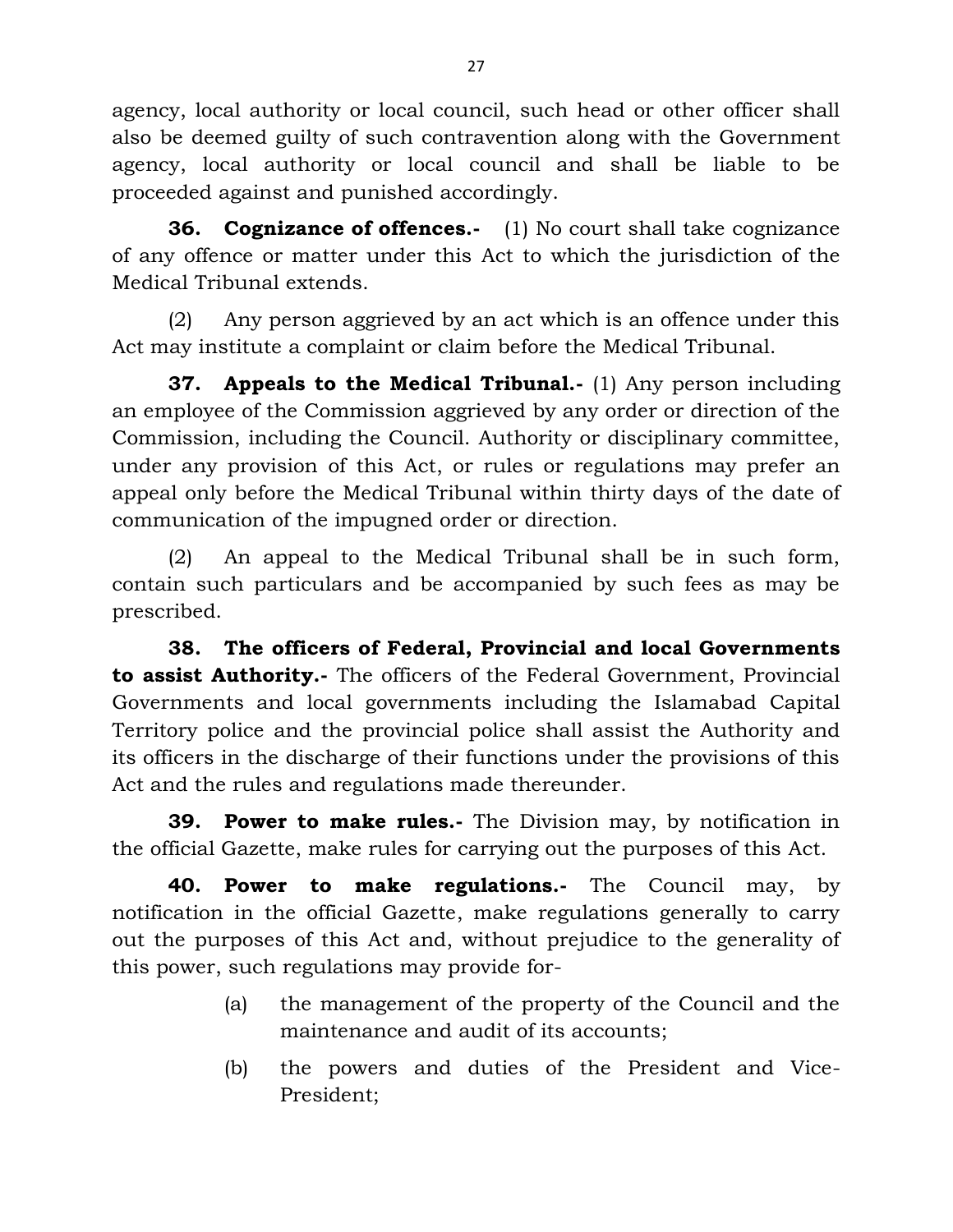agency, local authority or local council, such head or other officer shall also be deemed guilty of such contravention along with the Government agency, local authority or local council and shall be liable to be proceeded against and punished accordingly.

**36. Cognizance of offences.-** (1) No court shall take cognizance of any offence or matter under this Act to which the jurisdiction of the Medical Tribunal extends.

(2) Any person aggrieved by an act which is an offence under this Act may institute a complaint or claim before the Medical Tribunal.

**37. Appeals to the Medical Tribunal.-** (1) Any person including an employee of the Commission aggrieved by any order or direction of the Commission, including the Council. Authority or disciplinary committee, under any provision of this Act, or rules or regulations may prefer an appeal only before the Medical Tribunal within thirty days of the date of communication of the impugned order or direction.

(2) An appeal to the Medical Tribunal shall be in such form, contain such particulars and be accompanied by such fees as may be prescribed.

**38. The officers of Federal, Provincial and local Governments to assist Authority.-** The officers of the Federal Government, Provincial Governments and local governments including the Islamabad Capital Territory police and the provincial police shall assist the Authority and its officers in the discharge of their functions under the provisions of this Act and the rules and regulations made thereunder.

**39. Power to make rules.-** The Division may, by notification in the official Gazette, make rules for carrying out the purposes of this Act.

**40. Power to make regulations.-** The Council may, by notification in the official Gazette, make regulations generally to carry out the purposes of this Act and, without prejudice to the generality of this power, such regulations may provide for-

- (a) the management of the property of the Council and the maintenance and audit of its accounts;
- (b) the powers and duties of the President and Vice-President;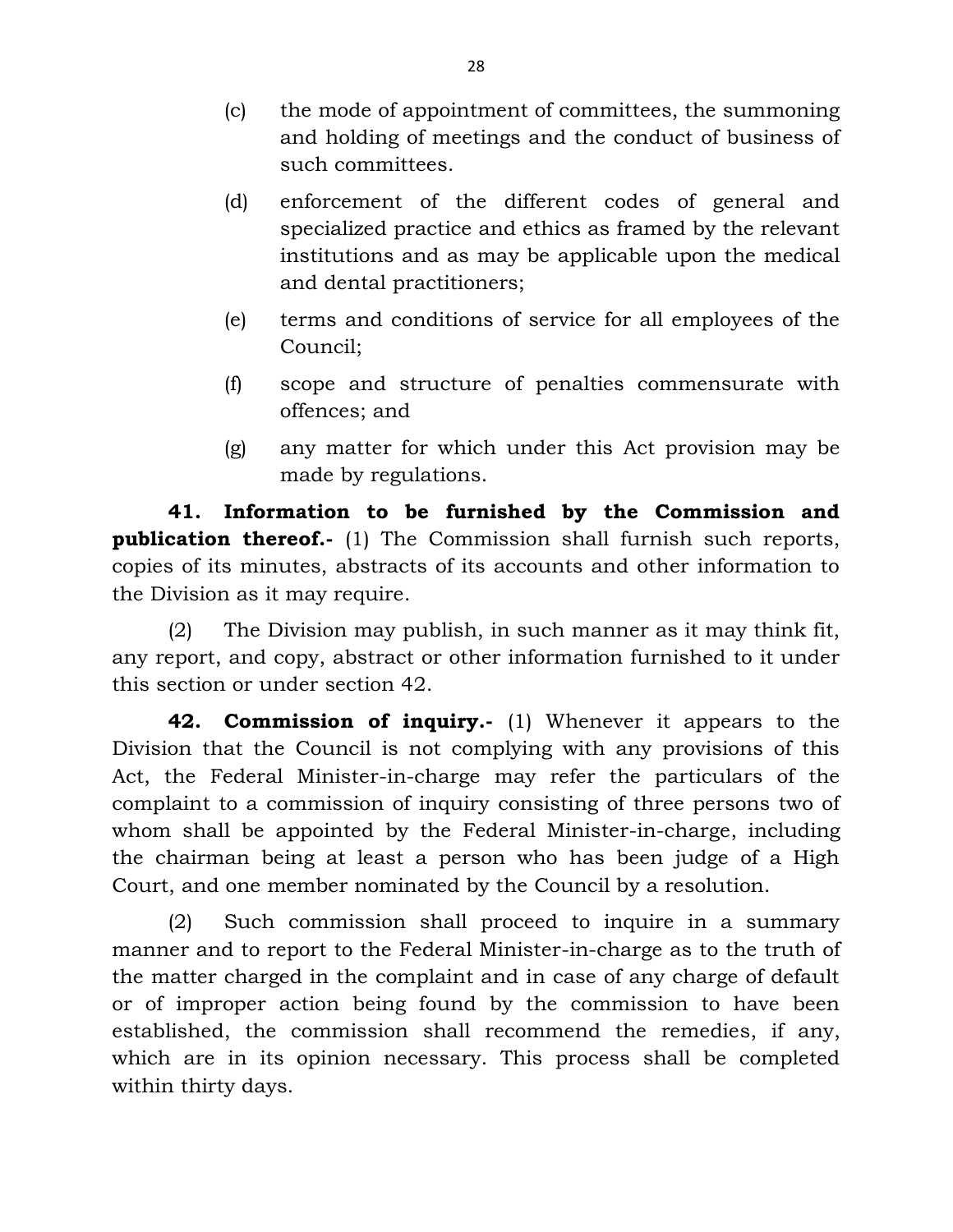- (c) the mode of appointment of committees, the summoning and holding of meetings and the conduct of business of such committees.
- (d) enforcement of the different codes of general and specialized practice and ethics as framed by the relevant institutions and as may be applicable upon the medical and dental practitioners;
- (e) terms and conditions of service for all employees of the Council;
- (f) scope and structure of penalties commensurate with offences; and
- (g) any matter for which under this Act provision may be made by regulations.

**41. Information to be furnished by the Commission and publication thereof.-** (1) The Commission shall furnish such reports, copies of its minutes, abstracts of its accounts and other information to the Division as it may require.

(2) The Division may publish, in such manner as it may think fit, any report, and copy, abstract or other information furnished to it under this section or under section 42.

**42. Commission of inquiry.-** (1) Whenever it appears to the Division that the Council is not complying with any provisions of this Act, the Federal Minister-in-charge may refer the particulars of the complaint to a commission of inquiry consisting of three persons two of whom shall be appointed by the Federal Minister-in-charge, including the chairman being at least a person who has been judge of a High Court, and one member nominated by the Council by a resolution.

(2) Such commission shall proceed to inquire in a summary manner and to report to the Federal Minister-in-charge as to the truth of the matter charged in the complaint and in case of any charge of default or of improper action being found by the commission to have been established, the commission shall recommend the remedies, if any, which are in its opinion necessary. This process shall be completed within thirty days.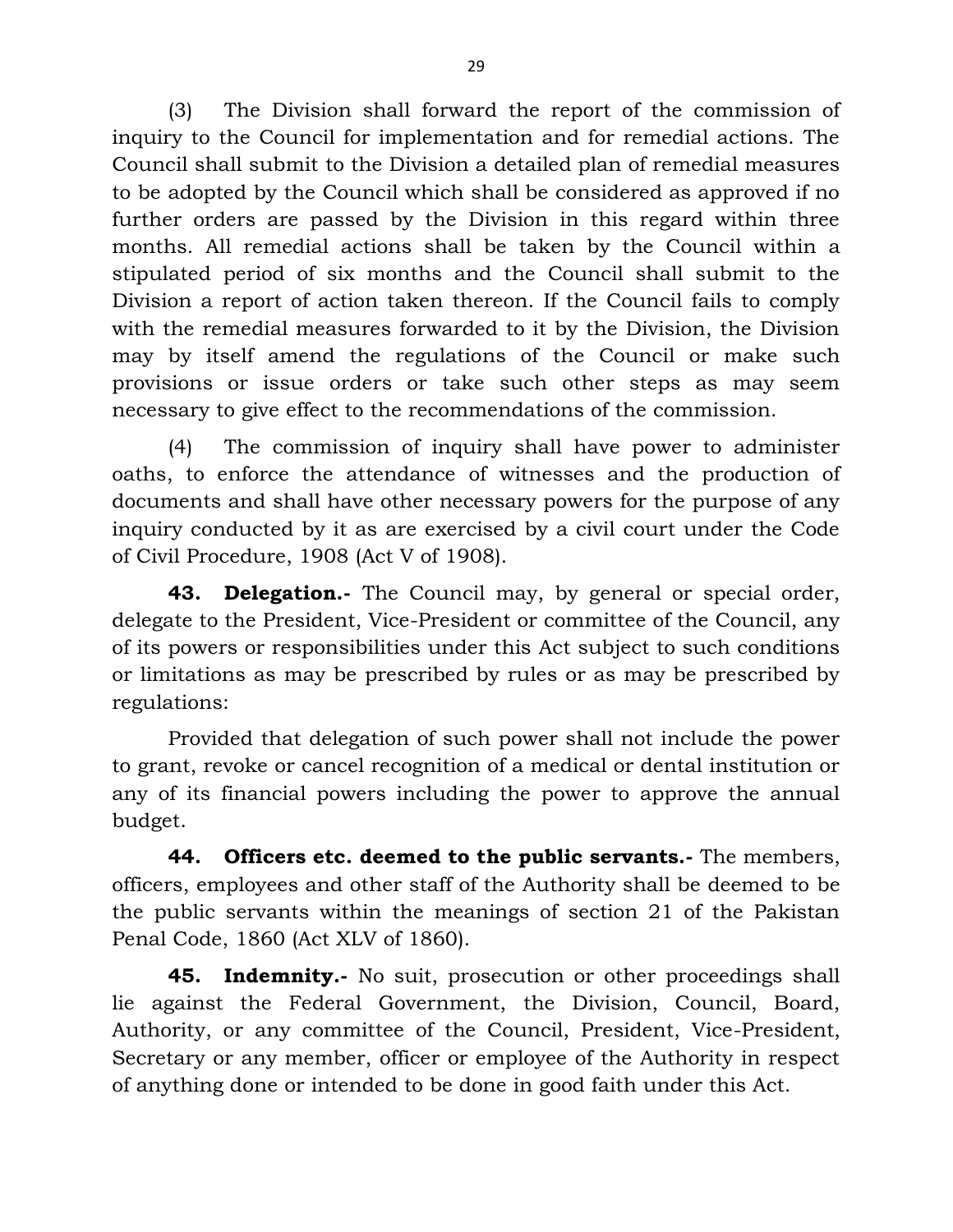(3) The Division shall forward the report of the commission of inquiry to the Council for implementation and for remedial actions. The Council shall submit to the Division a detailed plan of remedial measures to be adopted by the Council which shall be considered as approved if no further orders are passed by the Division in this regard within three months. All remedial actions shall be taken by the Council within a stipulated period of six months and the Council shall submit to the Division a report of action taken thereon. If the Council fails to comply with the remedial measures forwarded to it by the Division, the Division may by itself amend the regulations of the Council or make such provisions or issue orders or take such other steps as may seem necessary to give effect to the recommendations of the commission.

(4) The commission of inquiry shall have power to administer oaths, to enforce the attendance of witnesses and the production of documents and shall have other necessary powers for the purpose of any inquiry conducted by it as are exercised by a civil court under the Code of Civil Procedure, 1908 (Act V of 1908).

**43. Delegation.-** The Council may, by general or special order, delegate to the President, Vice-President or committee of the Council, any of its powers or responsibilities under this Act subject to such conditions or limitations as may be prescribed by rules or as may be prescribed by regulations:

Provided that delegation of such power shall not include the power to grant, revoke or cancel recognition of a medical or dental institution or any of its financial powers including the power to approve the annual budget.

**44. Officers etc. deemed to the public servants.-** The members, officers, employees and other staff of the Authority shall be deemed to be the public servants within the meanings of section 21 of the Pakistan Penal Code, 1860 (Act XLV of 1860).

**45. Indemnity.-** No suit, prosecution or other proceedings shall lie against the Federal Government, the Division, Council, Board, Authority, or any committee of the Council, President, Vice-President, Secretary or any member, officer or employee of the Authority in respect of anything done or intended to be done in good faith under this Act.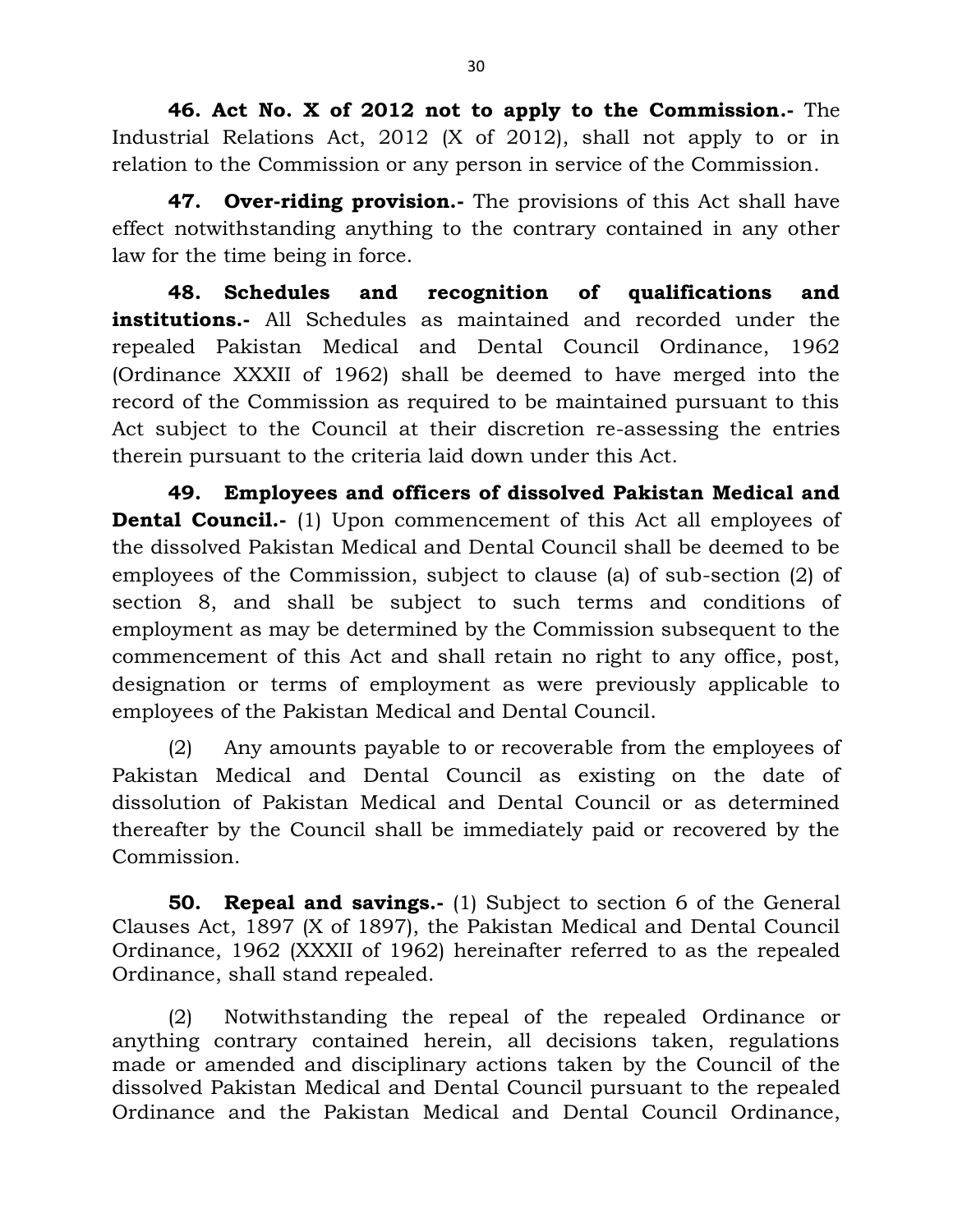**46. Act No. X of 2012 not to apply to the Commission.-** The Industrial Relations Act, 2012 (X of 2012), shall not apply to or in relation to the Commission or any person in service of the Commission.

**47. Over-riding provision.-** The provisions of this Act shall have effect notwithstanding anything to the contrary contained in any other law for the time being in force.

**48. Schedules and recognition of qualifications and institutions.-** All Schedules as maintained and recorded under the repealed Pakistan Medical and Dental Council Ordinance, 1962 (Ordinance XXXII of 1962) shall be deemed to have merged into the record of the Commission as required to be maintained pursuant to this Act subject to the Council at their discretion re-assessing the entries therein pursuant to the criteria laid down under this Act.

**49. Employees and officers of dissolved Pakistan Medical and Dental Council.**- (1) Upon commencement of this Act all employees of the dissolved Pakistan Medical and Dental Council shall be deemed to be employees of the Commission, subject to clause (a) of sub-section (2) of section 8, and shall be subject to such terms and conditions of employment as may be determined by the Commission subsequent to the commencement of this Act and shall retain no right to any office, post, designation or terms of employment as were previously applicable to employees of the Pakistan Medical and Dental Council.

(2) Any amounts payable to or recoverable from the employees of Pakistan Medical and Dental Council as existing on the date of dissolution of Pakistan Medical and Dental Council or as determined thereafter by the Council shall be immediately paid or recovered by the Commission.

**50. Repeal and savings.-** (1) Subject to section 6 of the General Clauses Act, 1897 (X of 1897), the Pakistan Medical and Dental Council Ordinance, 1962 (XXXII of 1962) hereinafter referred to as the repealed Ordinance, shall stand repealed.

(2) Notwithstanding the repeal of the repealed Ordinance or anything contrary contained herein, all decisions taken, regulations made or amended and disciplinary actions taken by the Council of the dissolved Pakistan Medical and Dental Council pursuant to the repealed Ordinance and the Pakistan Medical and Dental Council Ordinance,